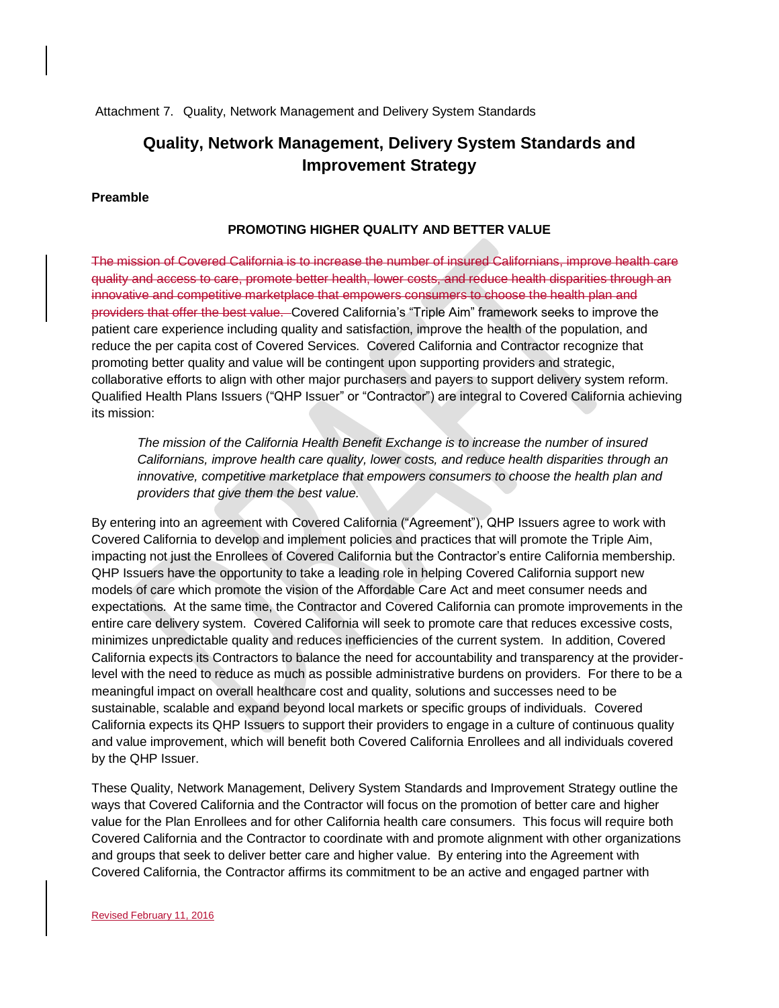Attachment 7. Quality, Network Management and Delivery System Standards

# **Quality, Network Management, Delivery System Standards and Improvement Strategy**

# **Preamble**

### **PROMOTING HIGHER QUALITY AND BETTER VALUE**

The mission of Covered California is to increase the number of insured Californians, improve health care quality and access to care, promote better health, lower costs, and reduce health disparities through an innovative and competitive marketplace that empowers consumers to choose the health plan and providers that offer the best value. Covered California's "Triple Aim" framework seeks to improve the patient care experience including quality and satisfaction, improve the health of the population, and reduce the per capita cost of Covered Services. Covered California and Contractor recognize that promoting better quality and value will be contingent upon supporting providers and strategic, collaborative efforts to align with other major purchasers and payers to support delivery system reform. Qualified Health Plans Issuers ("QHP Issuer" or "Contractor") are integral to Covered California achieving its mission:

*The mission of the California Health Benefit Exchange is to increase the number of insured Californians, improve health care quality, lower costs, and reduce health disparities through an innovative, competitive marketplace that empowers consumers to choose the health plan and providers that give them the best value.*

By entering into an agreement with Covered California ("Agreement"), QHP Issuers agree to work with Covered California to develop and implement policies and practices that will promote the Triple Aim, impacting not just the Enrollees of Covered California but the Contractor's entire California membership. QHP Issuers have the opportunity to take a leading role in helping Covered California support new models of care which promote the vision of the Affordable Care Act and meet consumer needs and expectations. At the same time, the Contractor and Covered California can promote improvements in the entire care delivery system. Covered California will seek to promote care that reduces excessive costs, minimizes unpredictable quality and reduces inefficiencies of the current system. In addition, Covered California expects its Contractors to balance the need for accountability and transparency at the providerlevel with the need to reduce as much as possible administrative burdens on providers. For there to be a meaningful impact on overall healthcare cost and quality, solutions and successes need to be sustainable, scalable and expand beyond local markets or specific groups of individuals. Covered California expects its QHP Issuers to support their providers to engage in a culture of continuous quality and value improvement, which will benefit both Covered California Enrollees and all individuals covered by the QHP Issuer.

These Quality, Network Management, Delivery System Standards and Improvement Strategy outline the ways that Covered California and the Contractor will focus on the promotion of better care and higher value for the Plan Enrollees and for other California health care consumers. This focus will require both Covered California and the Contractor to coordinate with and promote alignment with other organizations and groups that seek to deliver better care and higher value. By entering into the Agreement with Covered California, the Contractor affirms its commitment to be an active and engaged partner with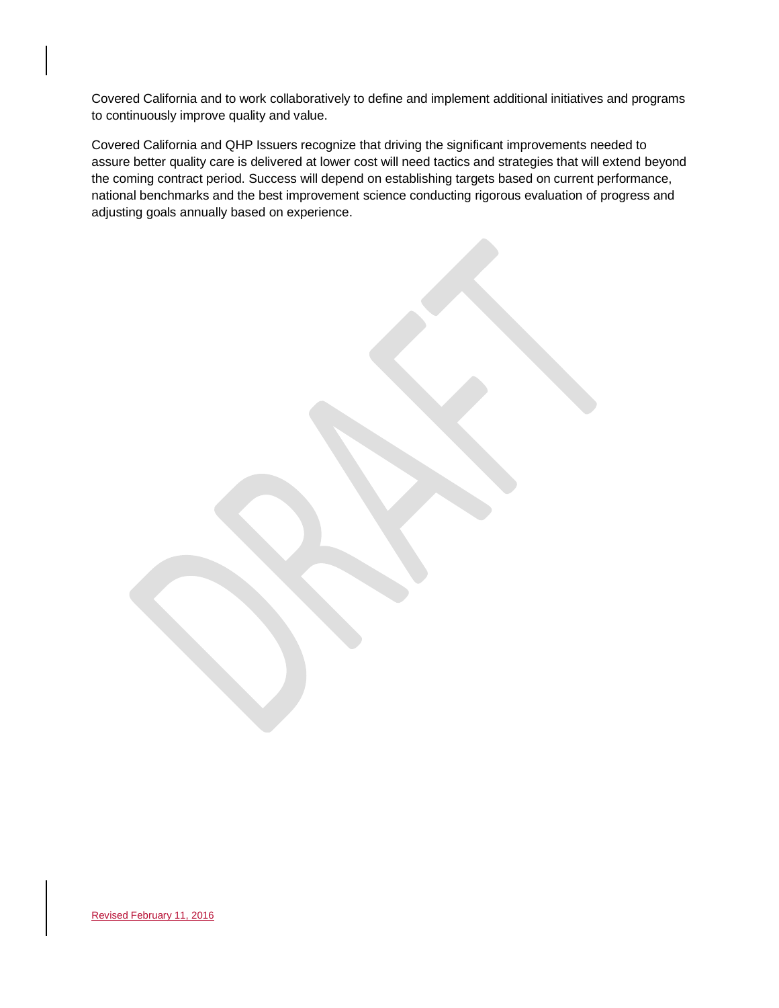Covered California and to work collaboratively to define and implement additional initiatives and programs to continuously improve quality and value.

Covered California and QHP Issuers recognize that driving the significant improvements needed to assure better quality care is delivered at lower cost will need tactics and strategies that will extend beyond the coming contract period. Success will depend on establishing targets based on current performance, national benchmarks and the best improvement science conducting rigorous evaluation of progress and adjusting goals annually based on experience.

Revised February 11, 2016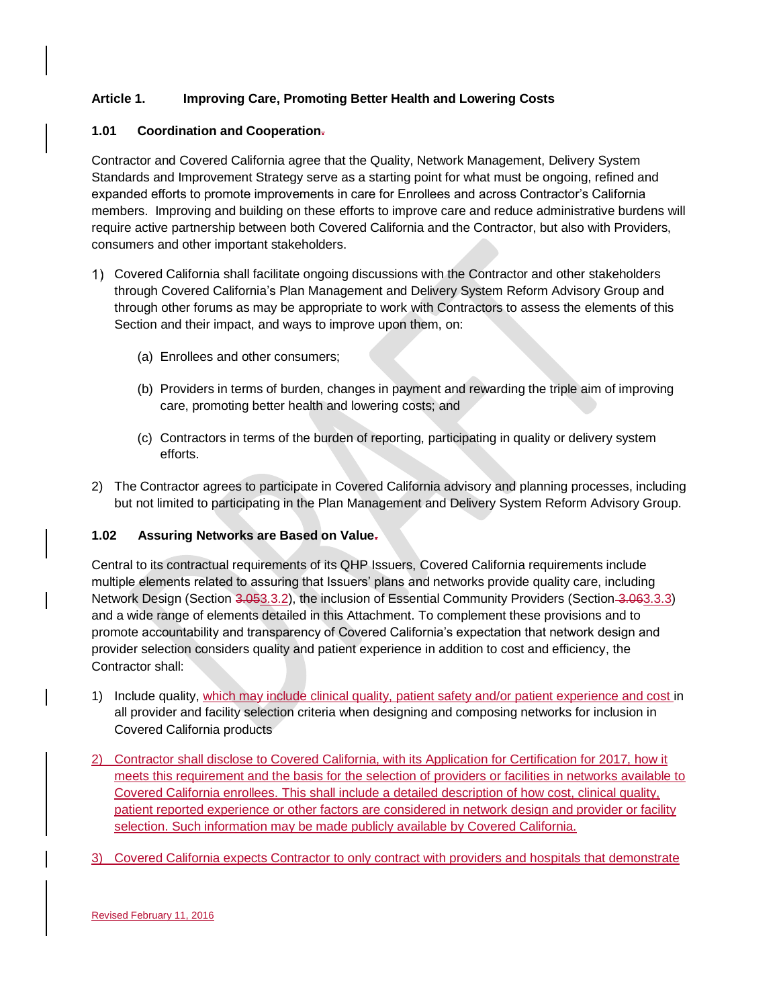# **Article 1. Improving Care, Promoting Better Health and Lowering Costs**

### **1.01 Coordination and Cooperation.**

Contractor and Covered California agree that the Quality, Network Management, Delivery System Standards and Improvement Strategy serve as a starting point for what must be ongoing, refined and expanded efforts to promote improvements in care for Enrollees and across Contractor's California members. Improving and building on these efforts to improve care and reduce administrative burdens will require active partnership between both Covered California and the Contractor, but also with Providers, consumers and other important stakeholders.

- Covered California shall facilitate ongoing discussions with the Contractor and other stakeholders through Covered California's Plan Management and Delivery System Reform Advisory Group and through other forums as may be appropriate to work with Contractors to assess the elements of this Section and their impact, and ways to improve upon them, on:
	- (a) Enrollees and other consumers;
	- (b) Providers in terms of burden, changes in payment and rewarding the triple aim of improving care, promoting better health and lowering costs; and
	- (c) Contractors in terms of the burden of reporting, participating in quality or delivery system efforts.
- 2) The Contractor agrees to participate in Covered California advisory and planning processes, including but not limited to participating in the Plan Management and Delivery System Reform Advisory Group.

# **1.02 Assuring Networks are Based on Value.**

Central to its contractual requirements of its QHP Issuers, Covered California requirements include multiple elements related to assuring that Issuers' plans and networks provide quality care, including Network Design (Section 3.053.3.2), the inclusion of Essential Community Providers (Section 3.063.3.3) and a wide range of elements detailed in this Attachment. To complement these provisions and to promote accountability and transparency of Covered California's expectation that network design and provider selection considers quality and patient experience in addition to cost and efficiency, the Contractor shall:

- 1) Include quality, which may include clinical quality, patient safety and/or patient experience and cost in all provider and facility selection criteria when designing and composing networks for inclusion in Covered California products
- 2) Contractor shall disclose to Covered California, with its Application for Certification for 2017, how it meets this requirement and the basis for the selection of providers or facilities in networks available to Covered California enrollees. This shall include a detailed description of how cost, clinical quality, patient reported experience or other factors are considered in network design and provider or facility selection. Such information may be made publicly available by Covered California.
- 3) Covered California expects Contractor to only contract with providers and hospitals that demonstrate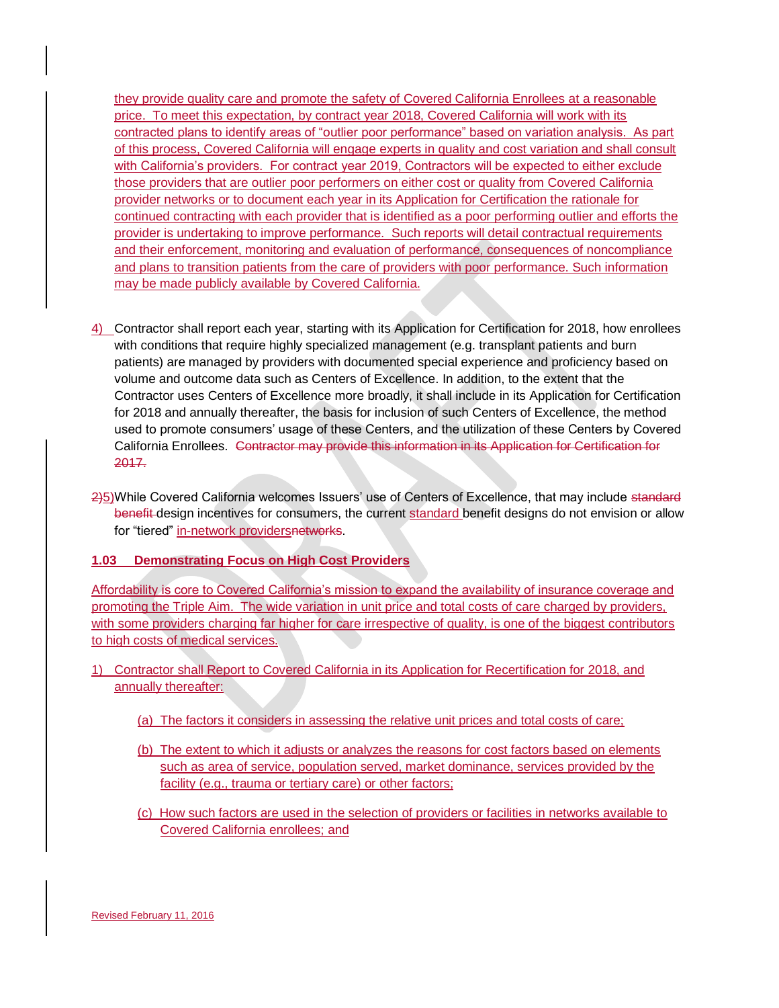they provide quality care and promote the safety of Covered California Enrollees at a reasonable price. To meet this expectation, by contract year 2018, Covered California will work with its contracted plans to identify areas of "outlier poor performance" based on variation analysis. As part of this process, Covered California will engage experts in quality and cost variation and shall consult with California's providers. For contract year 2019, Contractors will be expected to either exclude those providers that are outlier poor performers on either cost or quality from Covered California provider networks or to document each year in its Application for Certification the rationale for continued contracting with each provider that is identified as a poor performing outlier and efforts the provider is undertaking to improve performance. Such reports will detail contractual requirements and their enforcement, monitoring and evaluation of performance, consequences of noncompliance and plans to transition patients from the care of providers with poor performance. Such information may be made publicly available by Covered California.

- 4) Contractor shall report each year, starting with its Application for Certification for 2018, how enrollees with conditions that require highly specialized management (e.g. transplant patients and burn patients) are managed by providers with documented special experience and proficiency based on volume and outcome data such as Centers of Excellence. In addition, to the extent that the Contractor uses Centers of Excellence more broadly, it shall include in its Application for Certification for 2018 and annually thereafter, the basis for inclusion of such Centers of Excellence, the method used to promote consumers' usage of these Centers, and the utilization of these Centers by Covered California Enrollees. Contractor may provide this information in its Application for Certification for 2017.
- 2)5)While Covered California welcomes Issuers' use of Centers of Excellence, that may include standard benefit design incentives for consumers, the current standard benefit designs do not envision or allow for "tiered" in-network providersnetworks.

### **1.03 Demonstrating Focus on High Cost Providers**

Affordability is core to Covered California's mission to expand the availability of insurance coverage and promoting the Triple Aim. The wide variation in unit price and total costs of care charged by providers, with some providers charging far higher for care irrespective of quality, is one of the biggest contributors to high costs of medical services.

- 1) Contractor shall Report to Covered California in its Application for Recertification for 2018, and annually thereafter:
	- (a) The factors it considers in assessing the relative unit prices and total costs of care;
	- (b) The extent to which it adjusts or analyzes the reasons for cost factors based on elements such as area of service, population served, market dominance, services provided by the facility (e.g., trauma or tertiary care) or other factors;
	- (c) How such factors are used in the selection of providers or facilities in networks available to Covered California enrollees; and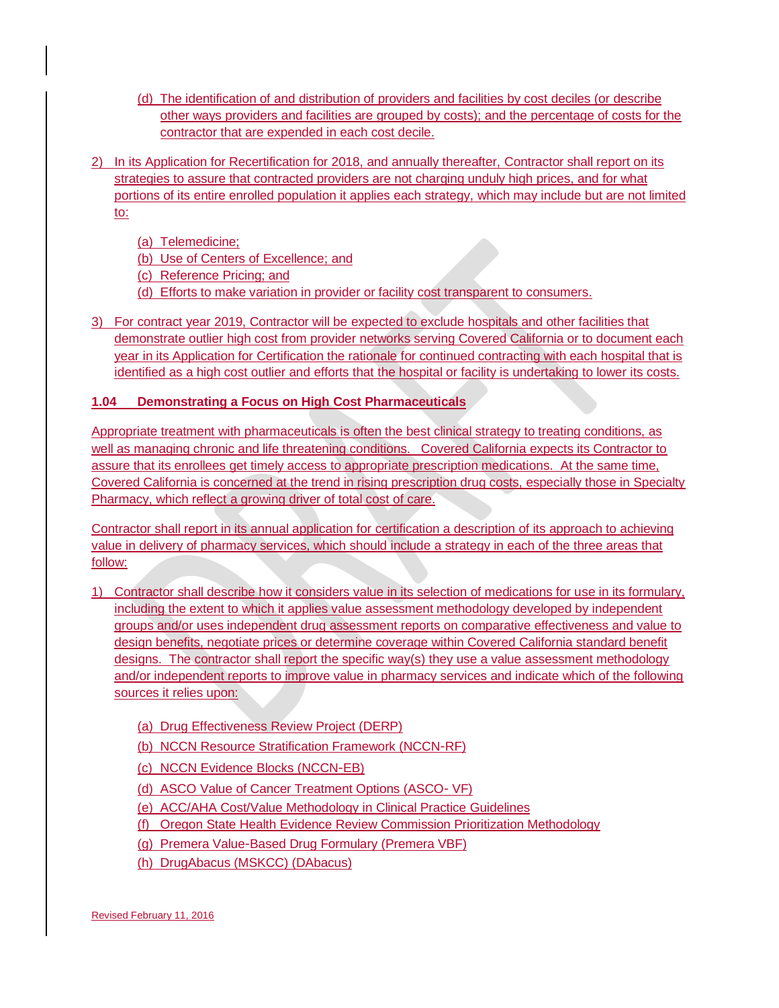- (d) The identification of and distribution of providers and facilities by cost deciles (or describe other ways providers and facilities are grouped by costs); and the percentage of costs for the contractor that are expended in each cost decile.
- 2) In its Application for Recertification for 2018, and annually thereafter, Contractor shall report on its strategies to assure that contracted providers are not charging unduly high prices, and for what portions of its entire enrolled population it applies each strategy, which may include but are not limited to:

(a) Telemedicine;

(b) Use of Centers of Excellence; and

(c) Reference Pricing; and

- (d) Efforts to make variation in provider or facility cost transparent to consumers.
- 3) For contract year 2019, Contractor will be expected to exclude hospitals and other facilities that demonstrate outlier high cost from provider networks serving Covered California or to document each year in its Application for Certification the rationale for continued contracting with each hospital that is identified as a high cost outlier and efforts that the hospital or facility is undertaking to lower its costs.

# **1.04 Demonstrating a Focus on High Cost Pharmaceuticals**

Appropriate treatment with pharmaceuticals is often the best clinical strategy to treating conditions, as well as managing chronic and life threatening conditions. Covered California expects its Contractor to assure that its enrollees get timely access to appropriate prescription medications. At the same time, Covered California is concerned at the trend in rising prescription drug costs, especially those in Specialty Pharmacy, which reflect a growing driver of total cost of care.

Contractor shall report in its annual application for certification a description of its approach to achieving value in delivery of pharmacy services, which should include a strategy in each of the three areas that follow:

- 1) Contractor shall describe how it considers value in its selection of medications for use in its formulary, including the extent to which it applies value assessment methodology developed by independent groups and/or uses independent drug assessment reports on comparative effectiveness and value to design benefits, negotiate prices or determine coverage within Covered California standard benefit designs. The contractor shall report the specific way(s) they use a value assessment methodology and/or independent reports to improve value in pharmacy services and indicate which of the following sources it relies upon:
	- (a) Drug Effectiveness Review Project (DERP)
	- (b) NCCN Resource Stratification Framework (NCCN‐RF)
	- (c) NCCN Evidence Blocks (NCCN‐EB)
	- (d) ASCO Value of Cancer Treatment Options (ASCO‐ VF)
	- (e) ACC/AHA Cost/Value Methodology in Clinical Practice Guidelines
	- (f) Oregon State Health Evidence Review Commission Prioritization Methodology
	- (g) Premera Value‐Based Drug Formulary (Premera VBF)
	- (h) DrugAbacus (MSKCC) (DAbacus)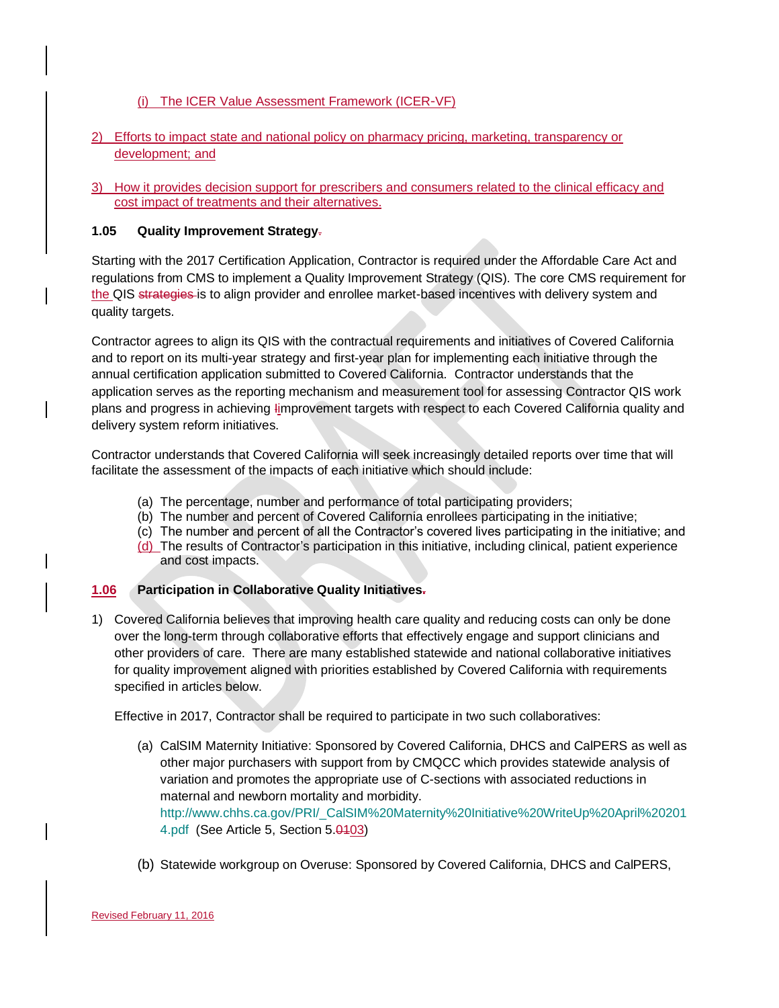# (i) The ICER Value Assessment Framework (ICER‐VF)

# 2) Efforts to impact state and national policy on pharmacy pricing, marketing, transparency or development; and

3) How it provides decision support for prescribers and consumers related to the clinical efficacy and cost impact of treatments and their alternatives.

### **1.05 Quality Improvement Strategy**.

Starting with the 2017 Certification Application, Contractor is required under the Affordable Care Act and regulations from CMS to implement a Quality Improvement Strategy (QIS). The core CMS requirement for the QIS strategies is to align provider and enrollee market-based incentives with delivery system and quality targets.

Contractor agrees to align its QIS with the contractual requirements and initiatives of Covered California and to report on its multi-year strategy and first-year plan for implementing each initiative through the annual certification application submitted to Covered California. Contractor understands that the application serves as the reporting mechanism and measurement tool for assessing Contractor QIS work plans and progress in achieving Iimprovement targets with respect to each Covered California quality and delivery system reform initiatives.

Contractor understands that Covered California will seek increasingly detailed reports over time that will facilitate the assessment of the impacts of each initiative which should include:

- (a) The percentage, number and performance of total participating providers;
- (b) The number and percent of Covered California enrollees participating in the initiative;
- (c) The number and percent of all the Contractor's covered lives participating in the initiative; and
- (d) The results of Contractor's participation in this initiative, including clinical, patient experience and cost impacts.

### **1.06 Participation in Collaborative Quality Initiatives.**

1) Covered California believes that improving health care quality and reducing costs can only be done over the long-term through collaborative efforts that effectively engage and support clinicians and other providers of care. There are many established statewide and national collaborative initiatives for quality improvement aligned with priorities established by Covered California with requirements specified in articles below.

Effective in 2017, Contractor shall be required to participate in two such collaboratives:

- (a) CalSIM Maternity Initiative: Sponsored by Covered California, DHCS and CalPERS as well as other major purchasers with support from by CMQCC which provides statewide analysis of variation and promotes the appropriate use of C-sections with associated reductions in maternal and newborn mortality and morbidity. [http://www.chhs.ca.gov/PRI/\\_CalSIM%20Maternity%20Initiative%20WriteUp%20April%20201](http://www.chhs.ca.gov/PRI/_CalSIM%20Maternity%20Initiative%20WriteUp%20April%202014.pdf) [4.pdf](http://www.chhs.ca.gov/PRI/_CalSIM%20Maternity%20Initiative%20WriteUp%20April%202014.pdf) (See Article 5, Section 5.0103)
- (b) Statewide workgroup on Overuse: Sponsored by Covered California, DHCS and CalPERS,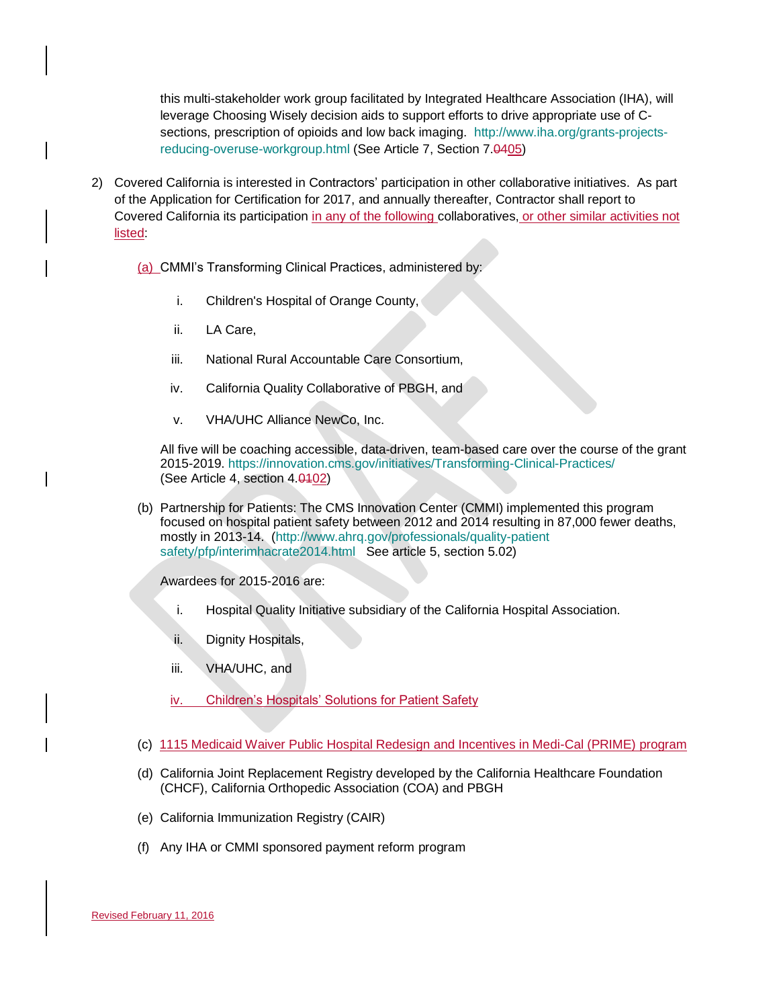this multi-stakeholder work group facilitated by Integrated Healthcare Association (IHA), will leverage Choosing Wisely decision aids to support efforts to drive appropriate use of Csections, prescription of opioids and low back imaging. [http://www.iha.org/grants-projects](http://www.iha.org/grants-projects-reducing-overuse-workgroup.html)[reducing-overuse-workgroup.html](http://www.iha.org/grants-projects-reducing-overuse-workgroup.html) (See Article 7, Section 7.0405)

- 2) Covered California is interested in Contractors' participation in other collaborative initiatives. As part of the Application for Certification for 2017, and annually thereafter, Contractor shall report to Covered California its participation in any of the following collaboratives, or other similar activities not listed:
	- (a) CMMI's Transforming Clinical Practices, administered by:
		- i. Children's Hospital of Orange County,
		- ii. LA Care,
		- iii. National Rural Accountable Care Consortium,
		- iv. California Quality Collaborative of PBGH, and
		- v. VHA/UHC Alliance NewCo, Inc.

All five will be coaching accessible, data-driven, team-based care over the course of the grant 2015-2019. <https://innovation.cms.gov/initiatives/Transforming-Clinical-Practices/> (See Article 4, section 4.0402)

(b) Partnership for Patients: The CMS Innovation Center (CMMI) implemented this program focused on hospital patient safety between 2012 and 2014 resulting in 87,000 fewer deaths, mostly in 2013-14. [\(http://www.ahrq.gov/professionals/quality-patient](http://www.ahrq.gov/professionals/quality-patient%20safety/pfp/interimhacrate2014.html)  [safety/pfp/interimhacrate2014.html](http://www.ahrq.gov/professionals/quality-patient%20safety/pfp/interimhacrate2014.html) See article 5, section 5.02)

Awardees for 2015-2016 are:

- i. Hospital Quality Initiative subsidiary of the California Hospital Association.
- ii. Dignity Hospitals,
- iii. VHA/UHC, and
- iv. Children's Hospitals' Solutions for Patient Safety
- (c) 1115 Medicaid Waiver Public Hospital Redesign and Incentives in Medi-Cal (PRIME) program
- (d) California Joint Replacement Registry developed by the California Healthcare Foundation (CHCF), California Orthopedic Association (COA) and PBGH
- (e) California Immunization Registry (CAIR)
- (f) Any IHA or CMMI sponsored payment reform program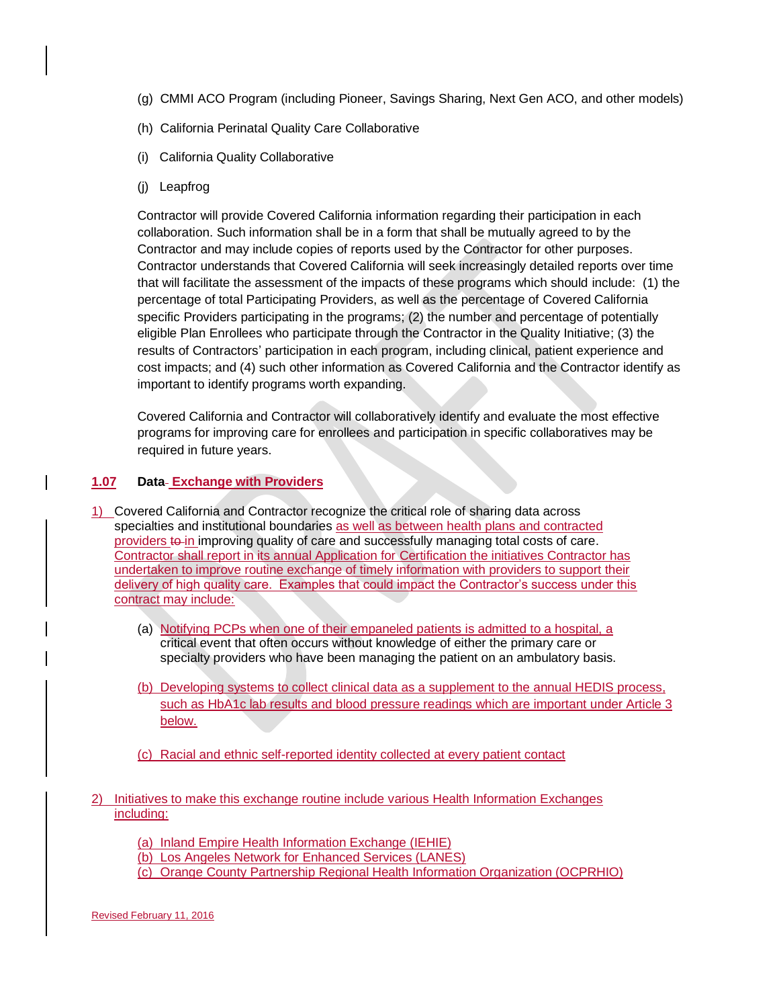- (g) CMMI ACO Program (including Pioneer, Savings Sharing, Next Gen ACO, and other models)
- (h) California Perinatal Quality Care Collaborative
- (i) California Quality Collaborative
- (j) Leapfrog

Contractor will provide Covered California information regarding their participation in each collaboration. Such information shall be in a form that shall be mutually agreed to by the Contractor and may include copies of reports used by the Contractor for other purposes. Contractor understands that Covered California will seek increasingly detailed reports over time that will facilitate the assessment of the impacts of these programs which should include: (1) the percentage of total Participating Providers, as well as the percentage of Covered California specific Providers participating in the programs; (2) the number and percentage of potentially eligible Plan Enrollees who participate through the Contractor in the Quality Initiative; (3) the results of Contractors' participation in each program, including clinical, patient experience and cost impacts; and (4) such other information as Covered California and the Contractor identify as important to identify programs worth expanding.

Covered California and Contractor will collaboratively identify and evaluate the most effective programs for improving care for enrollees and participation in specific collaboratives may be required in future years.

# **1.07 Data Exchange with Providers**

- 1) Covered California and Contractor recognize the critical role of sharing data across specialties and institutional boundaries as well as between health plans and contracted providers to in improving quality of care and successfully managing total costs of care. Contractor shall report in its annual Application for Certification the initiatives Contractor has undertaken to improve routine exchange of timely information with providers to support their delivery of high quality care. Examples that could impact the Contractor's success under this contract may include:
	- (a) Notifying PCPs when one of their empaneled patients is admitted to a hospital, a critical event that often occurs without knowledge of either the primary care or specialty providers who have been managing the patient on an ambulatory basis.
	- (b) Developing systems to collect clinical data as a supplement to the annual HEDIS process, such as HbA1c lab results and blood pressure readings which are important under Article 3 below.
	- (c) Racial and ethnic self-reported identity collected at every patient contact
- 2) Initiatives to make this exchange routine include various Health Information Exchanges including:

(a) Inland Empire Health Information Exchange (IEHIE)

(b) Los Angeles Network for Enhanced Services (LANES)

(c) Orange County Partnership Regional Health Information Organization (OCPRHIO)

Revised February 11, 2016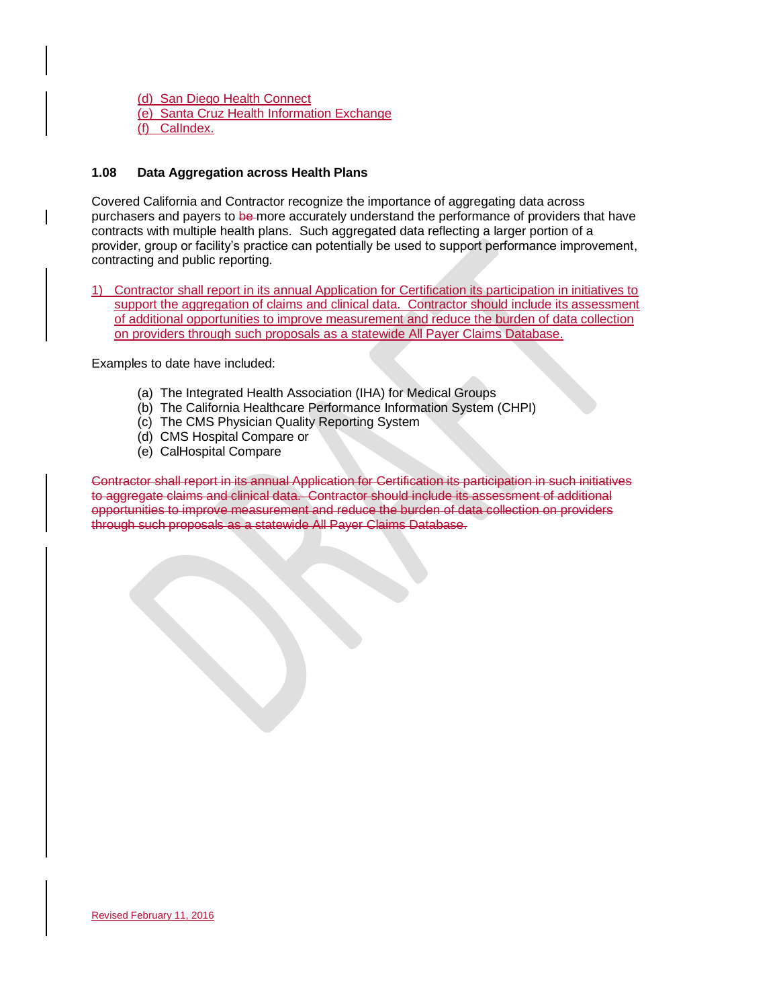(d) San Diego Health Connect (e) Santa Cruz Health Information Exchange (f) CalIndex.

# **1.08 Data Aggregation across Health Plans**

Covered California and Contractor recognize the importance of aggregating data across purchasers and payers to be more accurately understand the performance of providers that have contracts with multiple health plans. Such aggregated data reflecting a larger portion of a provider, group or facility's practice can potentially be used to support performance improvement, contracting and public reporting.

1) Contractor shall report in its annual Application for Certification its participation in initiatives to support the aggregation of claims and clinical data. Contractor should include its assessment of additional opportunities to improve measurement and reduce the burden of data collection on providers through such proposals as a statewide All Payer Claims Database.

Examples to date have included:

- (a) The Integrated Health Association (IHA) for Medical Groups
- (b) The California Healthcare Performance Information System (CHPI)
- (c) The CMS Physician Quality Reporting System
- (d) CMS Hospital Compare or
- (e) CalHospital Compare

Contractor shall report in its annual Application for Certification its participation in such initiatives to aggregate claims and clinical data. Contractor should include its assessment of additional opportunities to improve measurement and reduce the burden of data collection on providers through such proposals as a statewide All Payer Claims Database.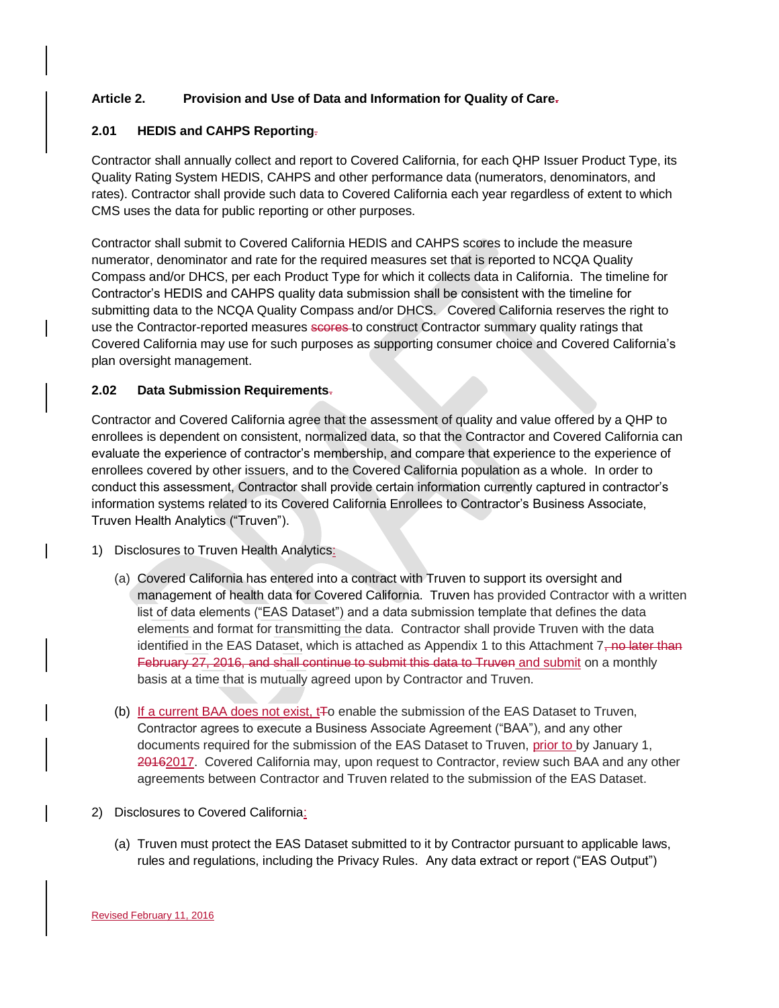# **Article 2. Provision and Use of Data and Information for Quality of Care.**

### **2.01 HEDIS and CAHPS Reporting**.

Contractor shall annually collect and report to Covered California, for each QHP Issuer Product Type, its Quality Rating System HEDIS, CAHPS and other performance data (numerators, denominators, and rates). Contractor shall provide such data to Covered California each year regardless of extent to which CMS uses the data for public reporting or other purposes.

Contractor shall submit to Covered California HEDIS and CAHPS scores to include the measure numerator, denominator and rate for the required measures set that is reported to NCQA Quality Compass and/or DHCS, per each Product Type for which it collects data in California. The timeline for Contractor's HEDIS and CAHPS quality data submission shall be consistent with the timeline for submitting data to the NCQA Quality Compass and/or DHCS. Covered California reserves the right to use the Contractor-reported measures scores to construct Contractor summary quality ratings that Covered California may use for such purposes as supporting consumer choice and Covered California's plan oversight management.

### **2.02 Data Submission Requirements**.

Contractor and Covered California agree that the assessment of quality and value offered by a QHP to enrollees is dependent on consistent, normalized data, so that the Contractor and Covered California can evaluate the experience of contractor's membership, and compare that experience to the experience of enrollees covered by other issuers, and to the Covered California population as a whole. In order to conduct this assessment, Contractor shall provide certain information currently captured in contractor's information systems related to its Covered California Enrollees to Contractor's Business Associate, Truven Health Analytics ("Truven").

- 1) Disclosures to Truven Health Analytics:
	- (a) Covered California has entered into a contract with Truven to support its oversight and management of health data for Covered California. Truven has provided Contractor with a written list of data elements ("EAS Dataset") and a data submission template that defines the data elements and format for transmitting the data. Contractor shall provide Truven with the data identified in the EAS Dataset, which is attached as Appendix 1 to this Attachment  $7\overline{,}$  no later than February 27, 2016, and shall continue to submit this data to Truven and submit on a monthly basis at a time that is mutually agreed upon by Contractor and Truven.
	- (b) If a current BAA does not exist,  $E_0$  enable the submission of the EAS Dataset to Truven, Contractor agrees to execute a Business Associate Agreement ("BAA"), and any other documents required for the submission of the EAS Dataset to Truven, prior to by January 1, 20162017. Covered California may, upon request to Contractor, review such BAA and any other agreements between Contractor and Truven related to the submission of the EAS Dataset.
- 2) Disclosures to Covered California:
	- (a) Truven must protect the EAS Dataset submitted to it by Contractor pursuant to applicable laws, rules and regulations, including the Privacy Rules. Any data extract or report ("EAS Output")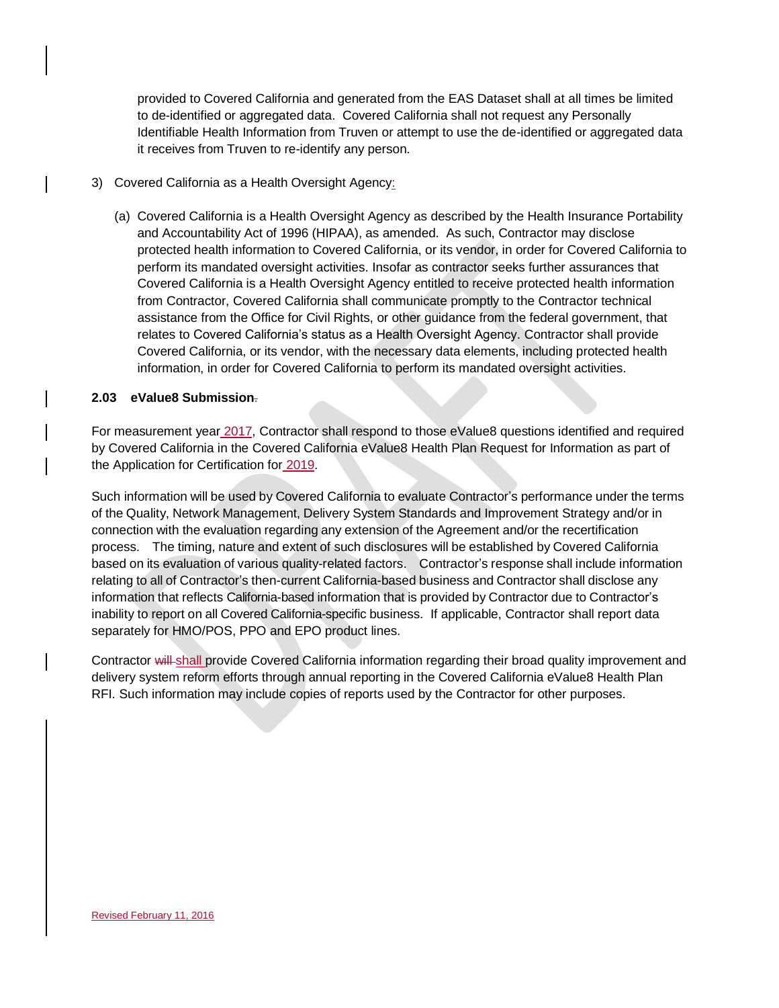provided to Covered California and generated from the EAS Dataset shall at all times be limited to de-identified or aggregated data. Covered California shall not request any Personally Identifiable Health Information from Truven or attempt to use the de-identified or aggregated data it receives from Truven to re-identify any person.

# 3) Covered California as a Health Oversight Agency:

(a) Covered California is a Health Oversight Agency as described by the Health Insurance Portability and Accountability Act of 1996 (HIPAA), as amended. As such, Contractor may disclose protected health information to Covered California, or its vendor, in order for Covered California to perform its mandated oversight activities. Insofar as contractor seeks further assurances that Covered California is a Health Oversight Agency entitled to receive protected health information from Contractor, Covered California shall communicate promptly to the Contractor technical assistance from the Office for Civil Rights, or other guidance from the federal government, that relates to Covered California's status as a Health Oversight Agency. Contractor shall provide Covered California, or its vendor, with the necessary data elements, including protected health information, in order for Covered California to perform its mandated oversight activities.

### **2.03 eValue8 Submission**.

For measurement year 2017, Contractor shall respond to those eValue8 questions identified and required by Covered California in the Covered California eValue8 Health Plan Request for Information as part of the Application for Certification for 2019.

Such information will be used by Covered California to evaluate Contractor's performance under the terms of the Quality, Network Management, Delivery System Standards and Improvement Strategy and/or in connection with the evaluation regarding any extension of the Agreement and/or the recertification process. The timing, nature and extent of such disclosures will be established by Covered California based on its evaluation of various quality-related factors. Contractor's response shall include information relating to all of Contractor's then-current California-based business and Contractor shall disclose any information that reflects California-based information that is provided by Contractor due to Contractor's inability to report on all Covered California-specific business. If applicable, Contractor shall report data separately for HMO/POS, PPO and EPO product lines.

Contractor will shall provide Covered California information regarding their broad quality improvement and delivery system reform efforts through annual reporting in the Covered California eValue8 Health Plan RFI. Such information may include copies of reports used by the Contractor for other purposes.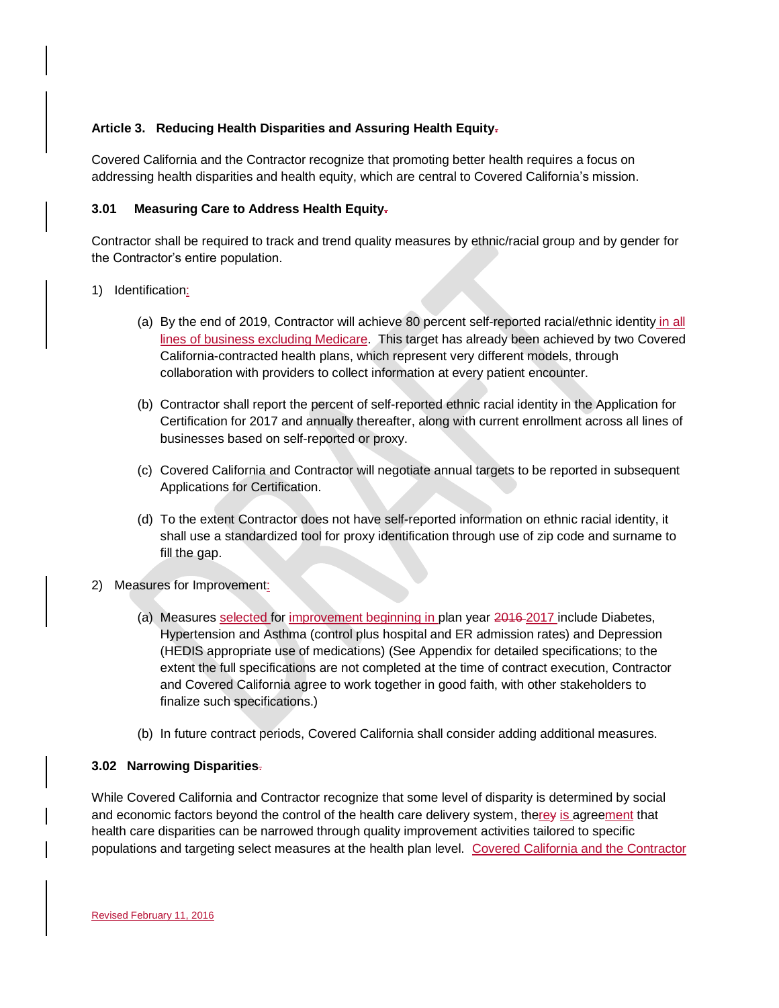### **Article 3. Reducing Health Disparities and Assuring Health Equity.**

Covered California and the Contractor recognize that promoting better health requires a focus on addressing health disparities and health equity, which are central to Covered California's mission.

### **3.01 Measuring Care to Address Health Equity.**

Contractor shall be required to track and trend quality measures by ethnic/racial group and by gender for the Contractor's entire population.

### 1) Identification:

- (a) By the end of 2019, Contractor will achieve 80 percent self-reported racial/ethnic identity in all lines of business excluding Medicare. This target has already been achieved by two Covered California-contracted health plans, which represent very different models, through collaboration with providers to collect information at every patient encounter.
- (b) Contractor shall report the percent of self-reported ethnic racial identity in the Application for Certification for 2017 and annually thereafter, along with current enrollment across all lines of businesses based on self-reported or proxy.
- (c) Covered California and Contractor will negotiate annual targets to be reported in subsequent Applications for Certification.
- (d) To the extent Contractor does not have self-reported information on ethnic racial identity, it shall use a standardized tool for proxy identification through use of zip code and surname to fill the gap.
- 2) Measures for Improvement:
	- (a) Measures selected for improvement beginning in plan year 2016 2017 include Diabetes, Hypertension and Asthma (control plus hospital and ER admission rates) and Depression (HEDIS appropriate use of medications) (See Appendix for detailed specifications; to the extent the full specifications are not completed at the time of contract execution, Contractor and Covered California agree to work together in good faith, with other stakeholders to finalize such specifications.)
	- (b) In future contract periods, Covered California shall consider adding additional measures.

# **3.02 Narrowing Disparities**.

While Covered California and Contractor recognize that some level of disparity is determined by social and economic factors beyond the control of the health care delivery system, therey is agreement that health care disparities can be narrowed through quality improvement activities tailored to specific populations and targeting select measures at the health plan level. Covered California and the Contractor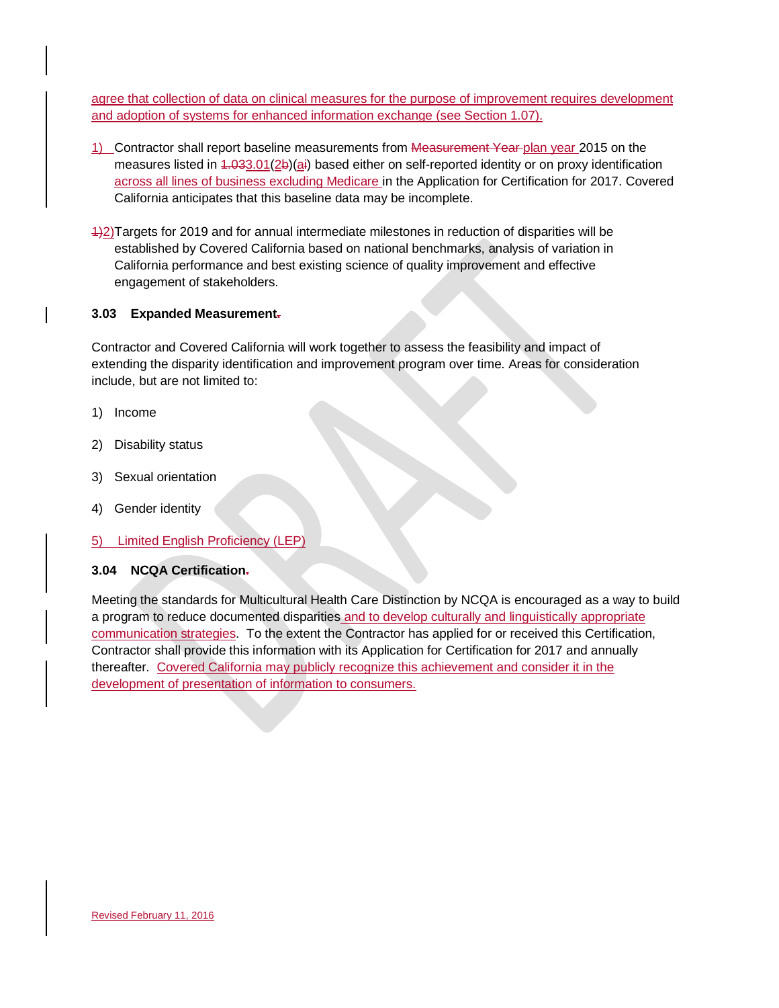agree that collection of data on clinical measures for the purpose of improvement requires development and adoption of systems for enhanced information exchange (see Section 1.07).

- 1) Contractor shall report baseline measurements from Measurement Year plan year 2015 on the measures listed in 1.033.01(2b)(ai) based either on self-reported identity or on proxy identification across all lines of business excluding Medicare in the Application for Certification for 2017. Covered California anticipates that this baseline data may be incomplete.
- 1)2)Targets for 2019 and for annual intermediate milestones in reduction of disparities will be established by Covered California based on national benchmarks, analysis of variation in California performance and best existing science of quality improvement and effective engagement of stakeholders.

### **3.03 Expanded Measurement.**

Contractor and Covered California will work together to assess the feasibility and impact of extending the disparity identification and improvement program over time. Areas for consideration include, but are not limited to:

- 1) Income
- 2) Disability status
- 3) Sexual orientation
- 4) Gender identity
- 5) Limited English Proficiency (LEP)

# **3.04 NCQA Certification.**

Meeting the standards for Multicultural Health Care Distinction by NCQA is encouraged as a way to build a program to reduce documented disparities and to develop culturally and linguistically appropriate communication strategies. To the extent the Contractor has applied for or received this Certification, Contractor shall provide this information with its Application for Certification for 2017 and annually thereafter. Covered California may publicly recognize this achievement and consider it in the development of presentation of information to consumers.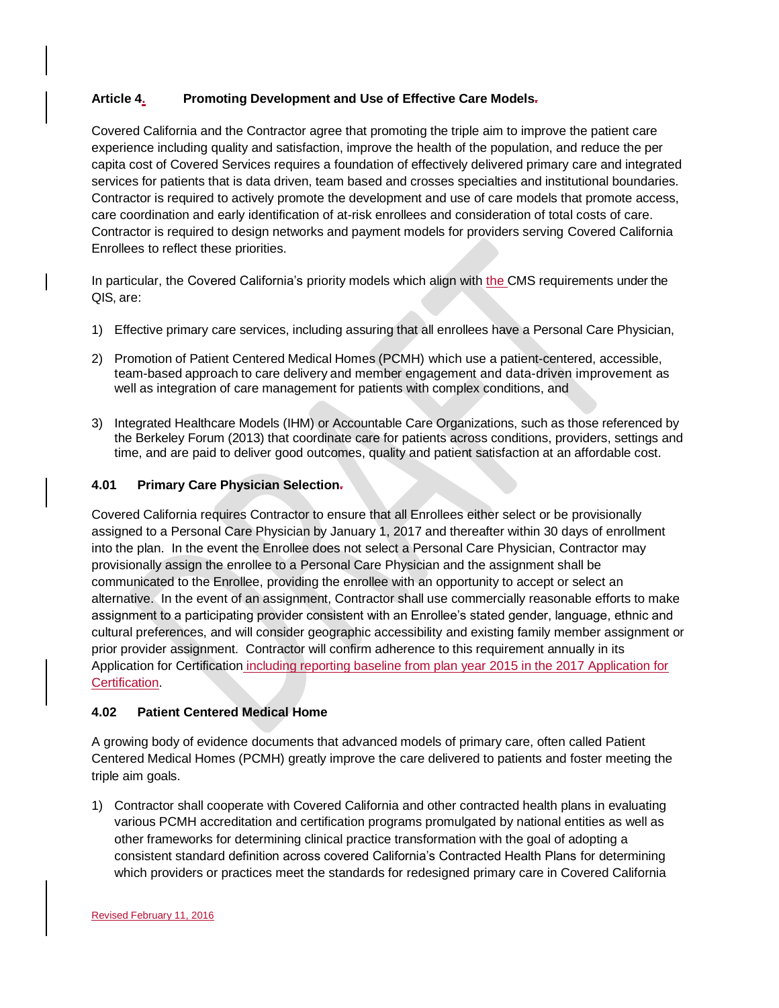# **Article 4. Promoting Development and Use of Effective Care Models.**

Covered California and the Contractor agree that promoting the triple aim to improve the patient care experience including quality and satisfaction, improve the health of the population, and reduce the per capita cost of Covered Services requires a foundation of effectively delivered primary care and integrated services for patients that is data driven, team based and crosses specialties and institutional boundaries. Contractor is required to actively promote the development and use of care models that promote access, care coordination and early identification of at-risk enrollees and consideration of total costs of care. Contractor is required to design networks and payment models for providers serving Covered California Enrollees to reflect these priorities.

In particular, the Covered California's priority models which align with the CMS requirements under the QIS, are:

- 1) Effective primary care services, including assuring that all enrollees have a Personal Care Physician,
- 2) Promotion of Patient Centered Medical Homes (PCMH) which use a patient-centered, accessible, team-based approach to care delivery and member engagement and data-driven improvement as well as integration of care management for patients with complex conditions, and
- 3) Integrated Healthcare Models (IHM) or Accountable Care Organizations, such as those referenced by the Berkeley Forum (2013) that coordinate care for patients across conditions, providers, settings and time, and are paid to deliver good outcomes, quality and patient satisfaction at an affordable cost.

### **4.01 Primary Care Physician Selection.**

Covered California requires Contractor to ensure that all Enrollees either select or be provisionally assigned to a Personal Care Physician by January 1, 2017 and thereafter within 30 days of enrollment into the plan. In the event the Enrollee does not select a Personal Care Physician, Contractor may provisionally assign the enrollee to a Personal Care Physician and the assignment shall be communicated to the Enrollee, providing the enrollee with an opportunity to accept or select an alternative. In the event of an assignment, Contractor shall use commercially reasonable efforts to make assignment to a participating provider consistent with an Enrollee's stated gender, language, ethnic and cultural preferences, and will consider geographic accessibility and existing family member assignment or prior provider assignment. Contractor will confirm adherence to this requirement annually in its Application for Certification including reporting baseline from plan year 2015 in the 2017 Application for Certification.

# **4.02 Patient Centered Medical Home**

A growing body of evidence documents that advanced models of primary care, often called Patient Centered Medical Homes (PCMH) greatly improve the care delivered to patients and foster meeting the triple aim goals.

1) Contractor shall cooperate with Covered California and other contracted health plans in evaluating various PCMH accreditation and certification programs promulgated by national entities as well as other frameworks for determining clinical practice transformation with the goal of adopting a consistent standard definition across covered California's Contracted Health Plans for determining which providers or practices meet the standards for redesigned primary care in Covered California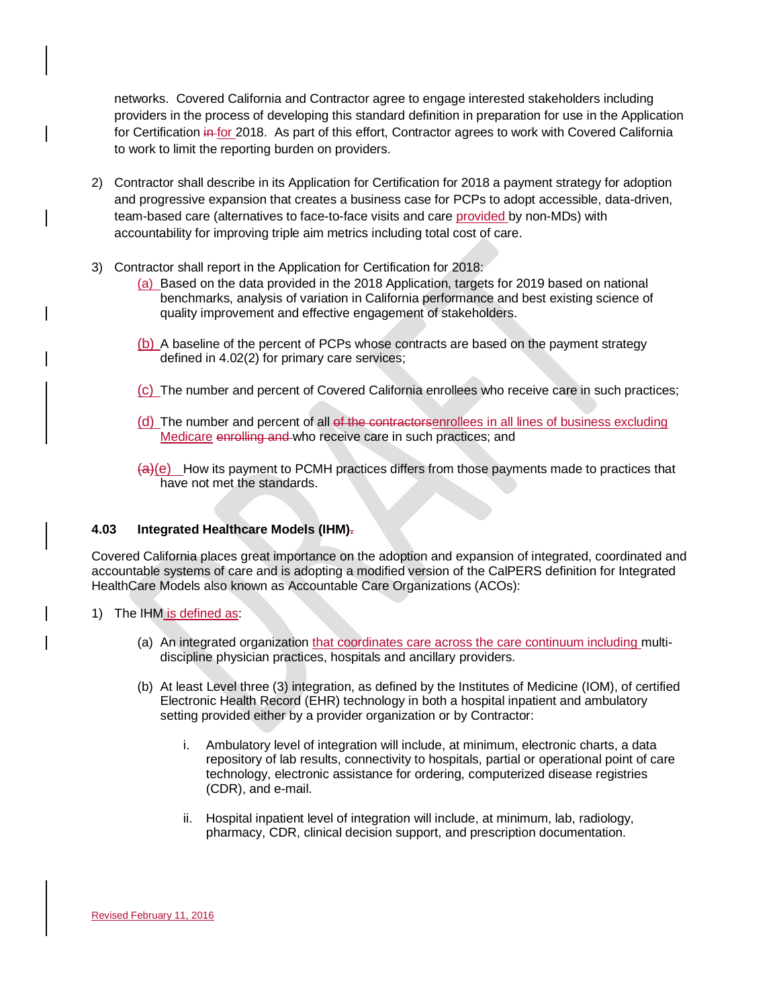networks. Covered California and Contractor agree to engage interested stakeholders including providers in the process of developing this standard definition in preparation for use in the Application for Certification in for 2018. As part of this effort, Contractor agrees to work with Covered California to work to limit the reporting burden on providers.

- 2) Contractor shall describe in its Application for Certification for 2018 a payment strategy for adoption and progressive expansion that creates a business case for PCPs to adopt accessible, data-driven, team-based care (alternatives to face-to-face visits and care provided by non-MDs) with accountability for improving triple aim metrics including total cost of care.
- 3) Contractor shall report in the Application for Certification for 2018:
	- (a) Based on the data provided in the 2018 Application, targets for 2019 based on national benchmarks, analysis of variation in California performance and best existing science of quality improvement and effective engagement of stakeholders.
	- (b) A baseline of the percent of PCPs whose contracts are based on the payment strategy defined in 4.02(2) for primary care services;
	- (c) The number and percent of Covered California enrollees who receive care in such practices;
	- (d) The number and percent of all of the contractorsenrollees in all lines of business excluding Medicare enrolling and who receive care in such practices; and
	- $\left(\frac{a}{e}\right)$  How its payment to PCMH practices differs from those payments made to practices that have not met the standards.

# **4.03 Integrated Healthcare Models (IHM).**

Covered California places great importance on the adoption and expansion of integrated, coordinated and accountable systems of care and is adopting a modified version of the CalPERS definition for Integrated HealthCare Models also known as Accountable Care Organizations (ACOs):

- 1) The IHM is defined as:
	- (a) An integrated organization that coordinates care across the care continuum including multidiscipline physician practices, hospitals and ancillary providers.
	- (b) At least Level three (3) integration, as defined by the Institutes of Medicine (IOM), of certified Electronic Health Record (EHR) technology in both a hospital inpatient and ambulatory setting provided either by a provider organization or by Contractor:
		- i. Ambulatory level of integration will include, at minimum, electronic charts, a data repository of lab results, connectivity to hospitals, partial or operational point of care technology, electronic assistance for ordering, computerized disease registries (CDR), and e-mail.
		- ii. Hospital inpatient level of integration will include, at minimum, lab, radiology, pharmacy, CDR, clinical decision support, and prescription documentation.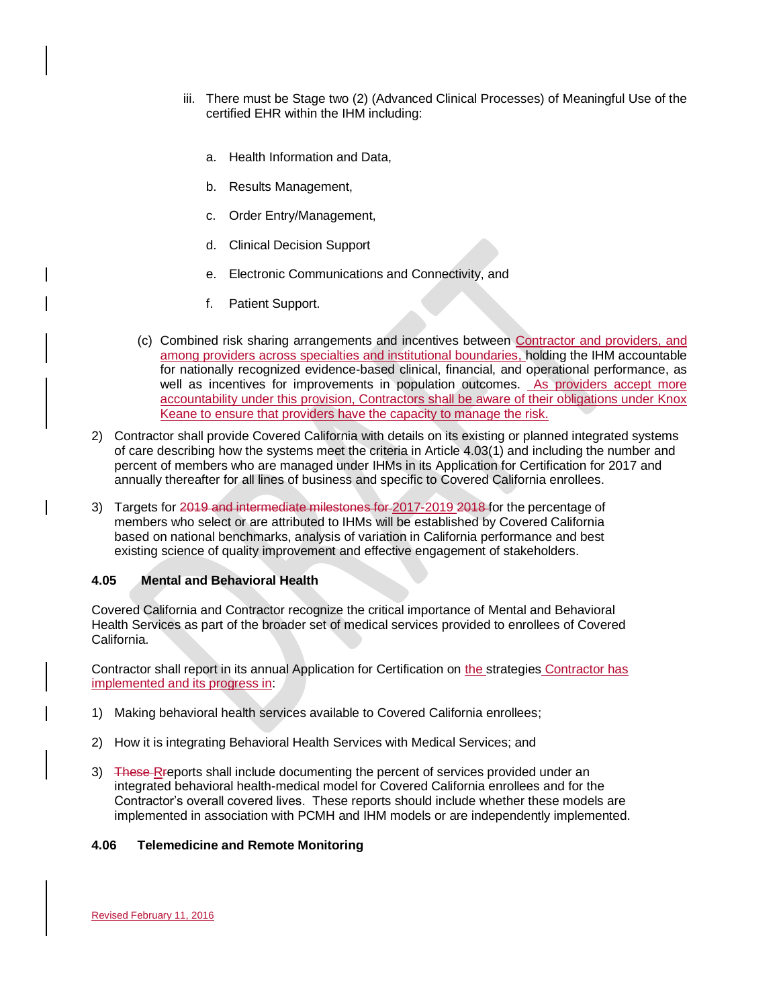- iii. There must be Stage two (2) (Advanced Clinical Processes) of Meaningful Use of the certified EHR within the IHM including:
	- a. Health Information and Data,
	- b. Results Management,
	- c. Order Entry/Management,
	- d. Clinical Decision Support
	- e. Electronic Communications and Connectivity, and
	- f. Patient Support.
- (c) Combined risk sharing arrangements and incentives between Contractor and providers, and among providers across specialties and institutional boundaries, holding the IHM accountable for nationally recognized evidence-based clinical, financial, and operational performance, as well as incentives for improvements in population outcomes. As providers accept more accountability under this provision, Contractors shall be aware of their obligations under Knox Keane to ensure that providers have the capacity to manage the risk.
- 2) Contractor shall provide Covered California with details on its existing or planned integrated systems of care describing how the systems meet the criteria in Article 4.03(1) and including the number and percent of members who are managed under IHMs in its Application for Certification for 2017 and annually thereafter for all lines of business and specific to Covered California enrollees.
- 3) Targets for 2019 and intermediate milestones for 2017-2019 2018 for the percentage of members who select or are attributed to IHMs will be established by Covered California based on national benchmarks, analysis of variation in California performance and best existing science of quality improvement and effective engagement of stakeholders.

### **4.05 Mental and Behavioral Health**

Covered California and Contractor recognize the critical importance of Mental and Behavioral Health Services as part of the broader set of medical services provided to enrollees of Covered California.

Contractor shall report in its annual Application for Certification on the strategies Contractor has implemented and its progress in:

- 1) Making behavioral health services available to Covered California enrollees;
- 2) How it is integrating Behavioral Health Services with Medical Services; and
- 3) These Rreports shall include documenting the percent of services provided under an integrated behavioral health-medical model for Covered California enrollees and for the Contractor's overall covered lives. These reports should include whether these models are implemented in association with PCMH and IHM models or are independently implemented.

### **4.06 Telemedicine and Remote Monitoring**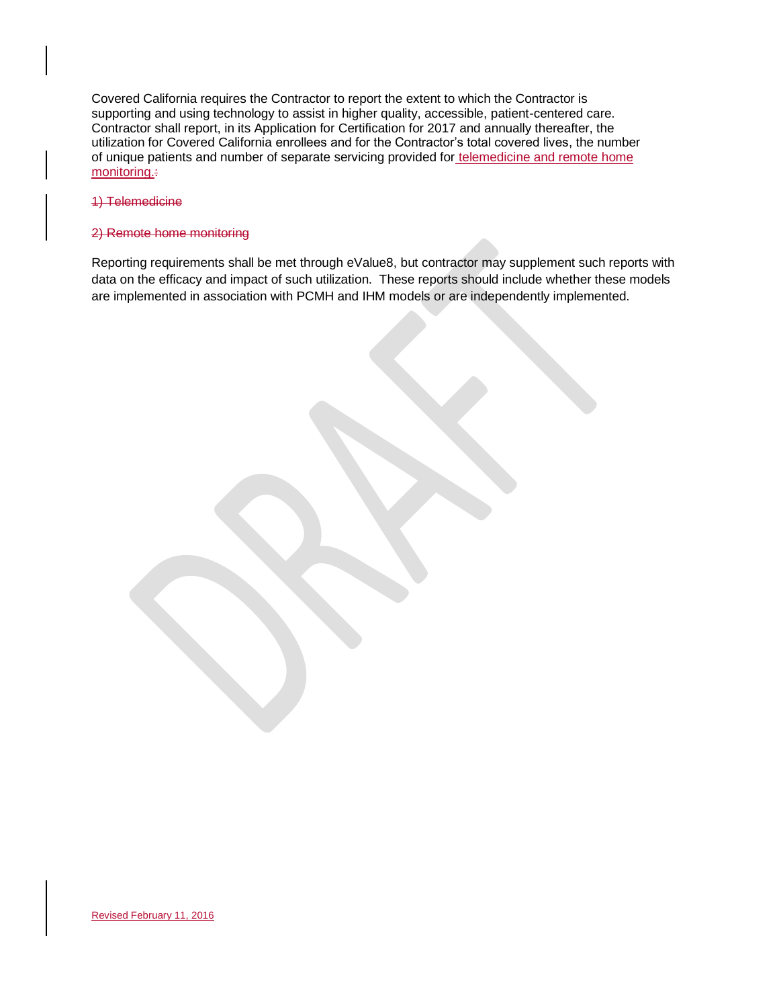Covered California requires the Contractor to report the extent to which the Contractor is supporting and using technology to assist in higher quality, accessible, patient-centered care. Contractor shall report, in its Application for Certification for 2017 and annually thereafter, the utilization for Covered California enrollees and for the Contractor's total covered lives, the number of unique patients and number of separate servicing provided for telemedicine and remote home monitoring.

#### 1) Telemedicine

#### 2) Remote home monitoring

Reporting requirements shall be met through eValue8, but contractor may supplement such reports with data on the efficacy and impact of such utilization. These reports should include whether these models are implemented in association with PCMH and IHM models or are independently implemented.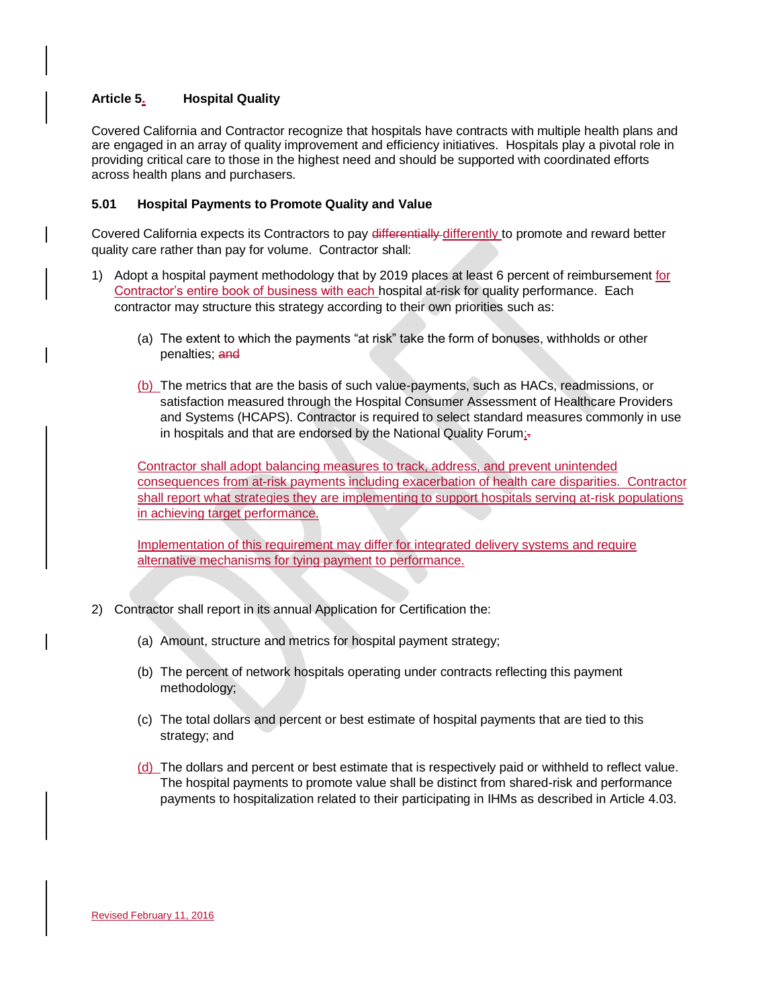# **Article 5. Hospital Quality**

Covered California and Contractor recognize that hospitals have contracts with multiple health plans and are engaged in an array of quality improvement and efficiency initiatives. Hospitals play a pivotal role in providing critical care to those in the highest need and should be supported with coordinated efforts across health plans and purchasers.

### **5.01 Hospital Payments to Promote Quality and Value**

Covered California expects its Contractors to pay differentially differently to promote and reward better quality care rather than pay for volume. Contractor shall:

- 1) Adopt a hospital payment methodology that by 2019 places at least 6 percent of reimbursement for Contractor's entire book of business with each hospital at-risk for quality performance. Each contractor may structure this strategy according to their own priorities such as:
	- (a) The extent to which the payments "at risk" take the form of bonuses, withholds or other penalties; and
	- (b) The metrics that are the basis of such value-payments, such as HACs, readmissions, or satisfaction measured through the Hospital Consumer Assessment of Healthcare Providers and Systems (HCAPS). Contractor is required to select standard measures commonly in use in hospitals and that are endorsed by the National Quality Forum; $\pm$

Contractor shall adopt balancing measures to track, address, and prevent unintended consequences from at-risk payments including exacerbation of health care disparities. Contractor shall report what strategies they are implementing to support hospitals serving at-risk populations in achieving target performance.

Implementation of this requirement may differ for integrated delivery systems and require alternative mechanisms for tying payment to performance.

- 2) Contractor shall report in its annual Application for Certification the:
	- (a) Amount, structure and metrics for hospital payment strategy;
	- (b) The percent of network hospitals operating under contracts reflecting this payment methodology;
	- (c) The total dollars and percent or best estimate of hospital payments that are tied to this strategy; and
	- $(d)$  The dollars and percent or best estimate that is respectively paid or withheld to reflect value. The hospital payments to promote value shall be distinct from shared-risk and performance payments to hospitalization related to their participating in IHMs as described in Article 4.03.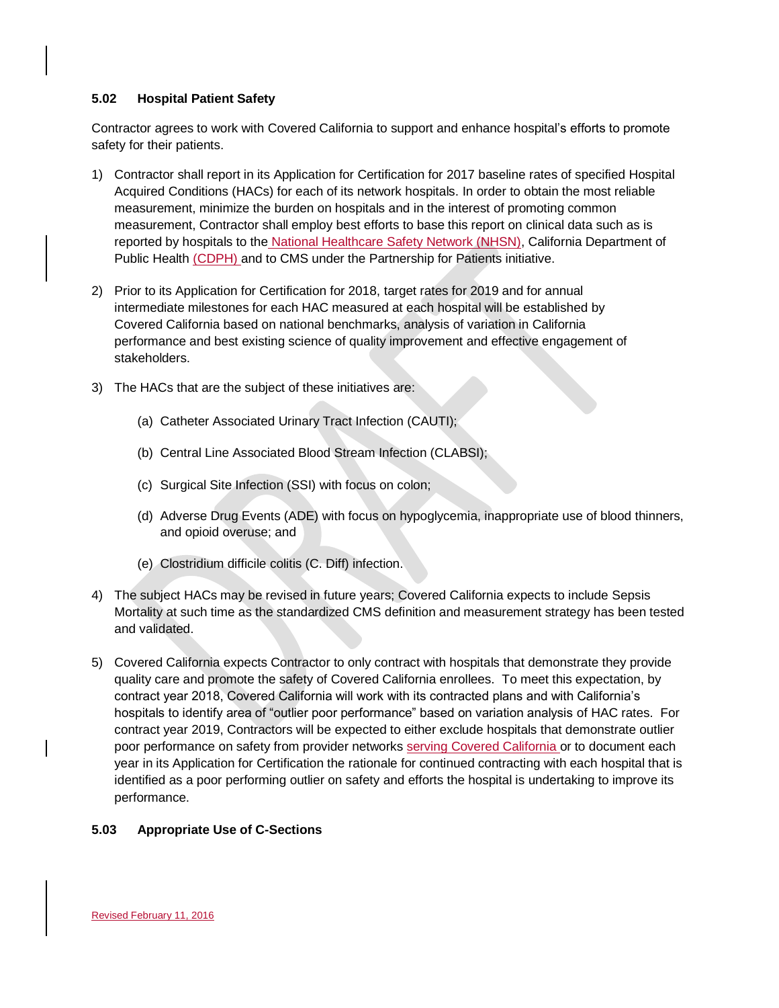### **5.02 Hospital Patient Safety**

Contractor agrees to work with Covered California to support and enhance hospital's efforts to promote safety for their patients.

- 1) Contractor shall report in its Application for Certification for 2017 baseline rates of specified Hospital Acquired Conditions (HACs) for each of its network hospitals. In order to obtain the most reliable measurement, minimize the burden on hospitals and in the interest of promoting common measurement, Contractor shall employ best efforts to base this report on clinical data such as is reported by hospitals to the National Healthcare Safety Network (NHSN), California Department of Public Health (CDPH) and to CMS under the Partnership for Patients initiative.
- 2) Prior to its Application for Certification for 2018, target rates for 2019 and for annual intermediate milestones for each HAC measured at each hospital will be established by Covered California based on national benchmarks, analysis of variation in California performance and best existing science of quality improvement and effective engagement of stakeholders.
- 3) The HACs that are the subject of these initiatives are:
	- (a) Catheter Associated Urinary Tract Infection (CAUTI);
	- (b) Central Line Associated Blood Stream Infection (CLABSI);
	- (c) Surgical Site Infection (SSI) with focus on colon;
	- (d) Adverse Drug Events (ADE) with focus on hypoglycemia, inappropriate use of blood thinners, and opioid overuse; and
	- (e) Clostridium difficile [colitis](http://www.webmd.com/ibd-crohns-disease/ulcerative-colitis/default.htm) (C. Diff) infection.
- 4) The subject HACs may be revised in future years; Covered California expects to include Sepsis Mortality at such time as the standardized CMS definition and measurement strategy has been tested and validated.
- 5) Covered California expects Contractor to only contract with hospitals that demonstrate they provide quality care and promote the safety of Covered California enrollees. To meet this expectation, by contract year 2018, Covered California will work with its contracted plans and with California's hospitals to identify area of "outlier poor performance" based on variation analysis of HAC rates. For contract year 2019, Contractors will be expected to either exclude hospitals that demonstrate outlier poor performance on safety from provider networks serving Covered California or to document each year in its Application for Certification the rationale for continued contracting with each hospital that is identified as a poor performing outlier on safety and efforts the hospital is undertaking to improve its performance.

# **5.03 Appropriate Use of C-Sections**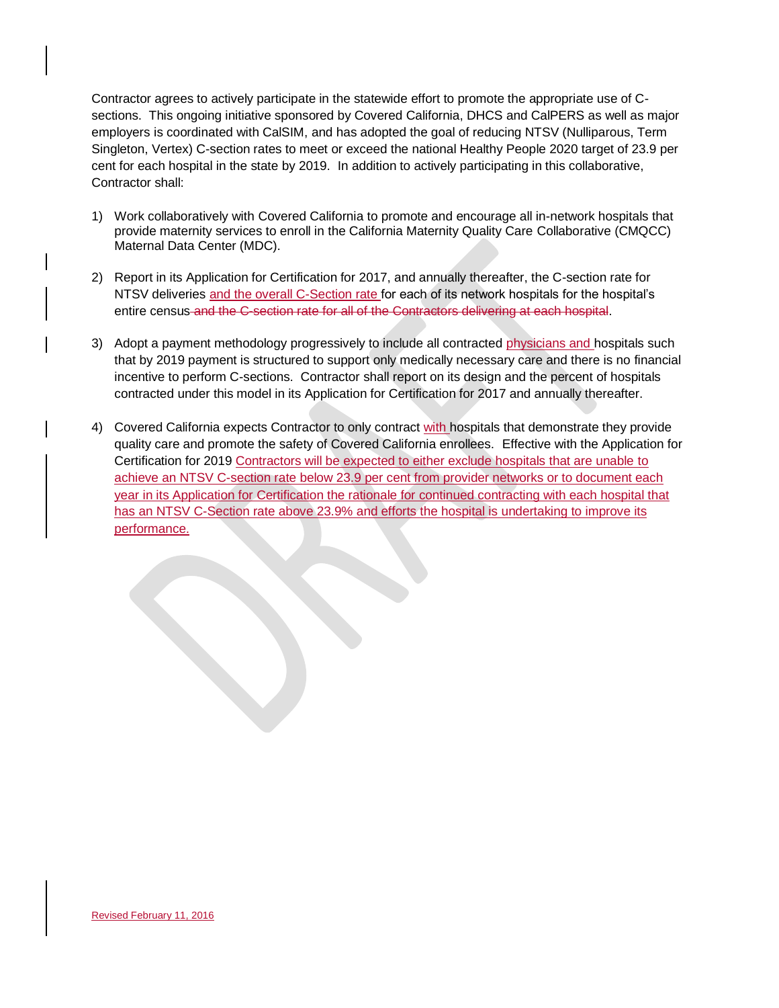Contractor agrees to actively participate in the statewide effort to promote the appropriate use of Csections. This ongoing initiative sponsored by Covered California, DHCS and CalPERS as well as major employers is coordinated with CalSIM, and has adopted the goal of reducing NTSV (Nulliparous, Term Singleton, Vertex) C-section rates to meet or exceed the national Healthy People 2020 target of 23.9 per cent for each hospital in the state by 2019. In addition to actively participating in this collaborative, Contractor shall:

- 1) Work collaboratively with Covered California to promote and encourage all in-network hospitals that provide maternity services to enroll in the California Maternity Quality Care Collaborative (CMQCC) Maternal Data Center (MDC).
- 2) Report in its Application for Certification for 2017, and annually thereafter, the C-section rate for NTSV deliveries and the overall C-Section rate for each of its network hospitals for the hospital's entire census and the C-section rate for all of the Contractors delivering at each hospital.
- 3) Adopt a payment methodology progressively to include all contracted physicians and hospitals such that by 2019 payment is structured to support only medically necessary care and there is no financial incentive to perform C-sections. Contractor shall report on its design and the percent of hospitals contracted under this model in its Application for Certification for 2017 and annually thereafter.
- 4) Covered California expects Contractor to only contract with hospitals that demonstrate they provide quality care and promote the safety of Covered California enrollees. Effective with the Application for Certification for 2019 Contractors will be expected to either exclude hospitals that are unable to achieve an NTSV C-section rate below 23.9 per cent from provider networks or to document each year in its Application for Certification the rationale for continued contracting with each hospital that has an NTSV C-Section rate above 23.9% and efforts the hospital is undertaking to improve its performance.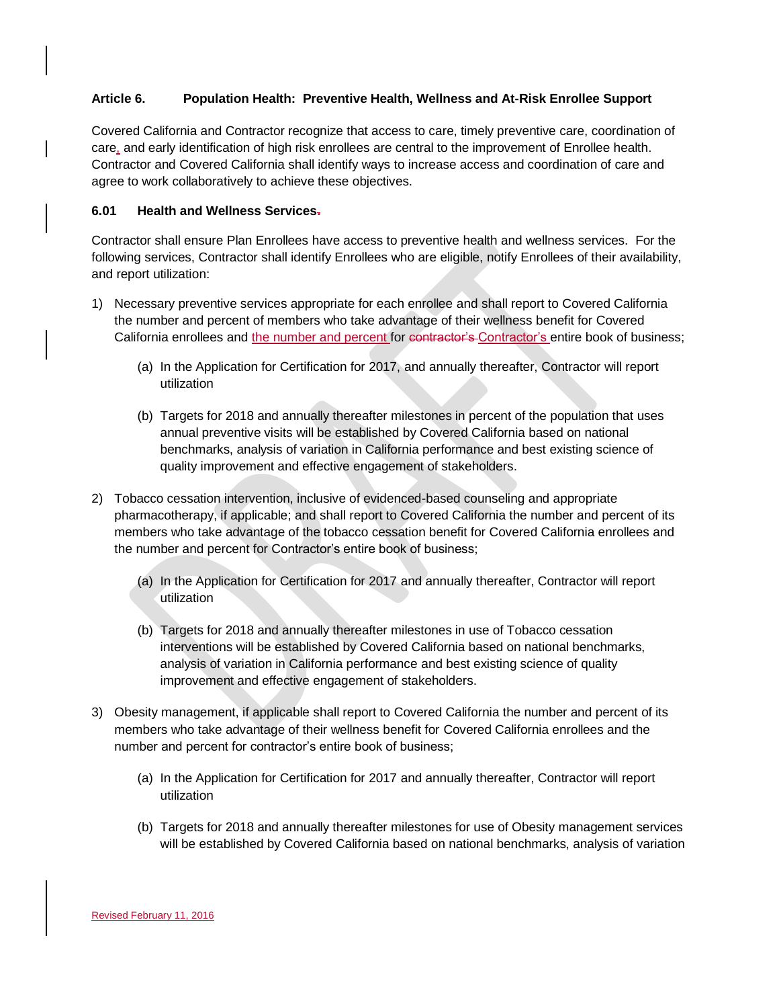# **Article 6. Population Health: Preventive Health, Wellness and At-Risk Enrollee Support**

Covered California and Contractor recognize that access to care, timely preventive care, coordination of care, and early identification of high risk enrollees are central to the improvement of Enrollee health. Contractor and Covered California shall identify ways to increase access and coordination of care and agree to work collaboratively to achieve these objectives.

# **6.01 Health and Wellness Services.**

Contractor shall ensure Plan Enrollees have access to preventive health and wellness services. For the following services, Contractor shall identify Enrollees who are eligible, notify Enrollees of their availability, and report utilization:

- 1) Necessary preventive services appropriate for each enrollee and shall report to Covered California the number and percent of members who take advantage of their wellness benefit for Covered California enrollees and the number and percent for contractor's Contractor's entire book of business;
	- (a) In the Application for Certification for 2017, and annually thereafter, Contractor will report utilization
	- (b) Targets for 2018 and annually thereafter milestones in percent of the population that uses annual preventive visits will be established by Covered California based on national benchmarks, analysis of variation in California performance and best existing science of quality improvement and effective engagement of stakeholders.
- 2) Tobacco cessation intervention, inclusive of evidenced-based counseling and appropriate pharmacotherapy, if applicable; and shall report to Covered California the number and percent of its members who take advantage of the tobacco cessation benefit for Covered California enrollees and the number and percent for Contractor's entire book of business;
	- (a) In the Application for Certification for 2017 and annually thereafter, Contractor will report utilization
	- (b) Targets for 2018 and annually thereafter milestones in use of Tobacco cessation interventions will be established by Covered California based on national benchmarks, analysis of variation in California performance and best existing science of quality improvement and effective engagement of stakeholders.
- 3) Obesity management, if applicable shall report to Covered California the number and percent of its members who take advantage of their wellness benefit for Covered California enrollees and the number and percent for contractor's entire book of business;
	- (a) In the Application for Certification for 2017 and annually thereafter, Contractor will report utilization
	- (b) Targets for 2018 and annually thereafter milestones for use of Obesity management services will be established by Covered California based on national benchmarks, analysis of variation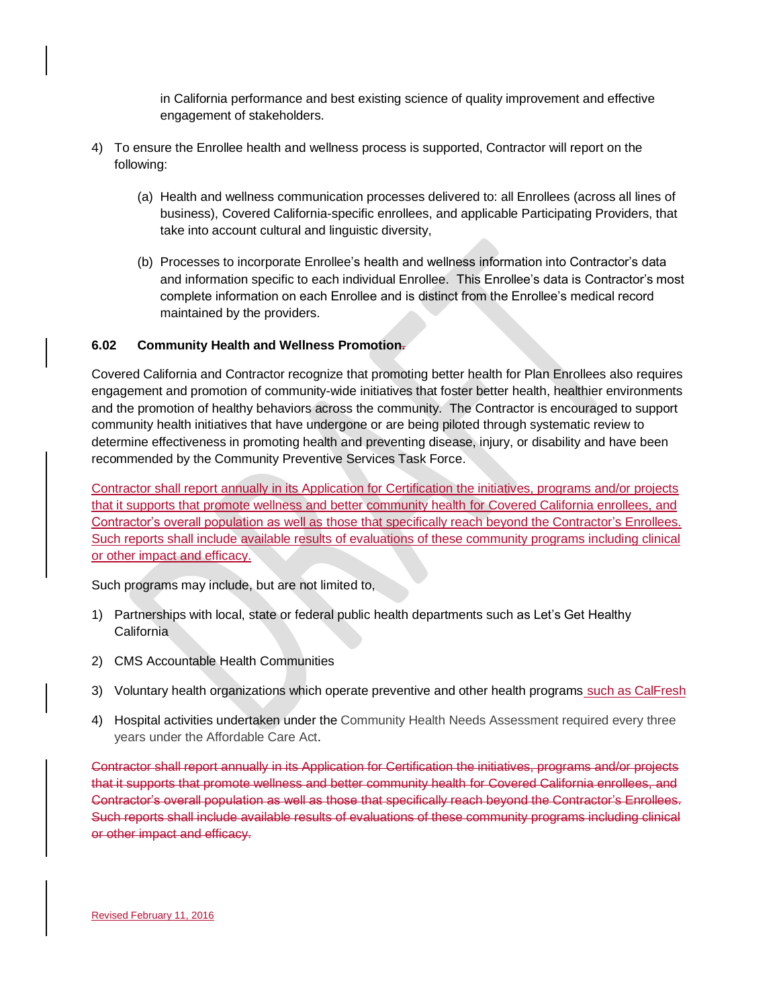in California performance and best existing science of quality improvement and effective engagement of stakeholders.

- 4) To ensure the Enrollee health and wellness process is supported, Contractor will report on the following:
	- (a) Health and wellness communication processes delivered to: all Enrollees (across all lines of business), Covered California-specific enrollees, and applicable Participating Providers, that take into account cultural and linguistic diversity,
	- (b) Processes to incorporate Enrollee's health and wellness information into Contractor's data and information specific to each individual Enrollee. This Enrollee's data is Contractor's most complete information on each Enrollee and is distinct from the Enrollee's medical record maintained by the providers.

# **6.02 Community Health and Wellness Promotion.**

Covered California and Contractor recognize that promoting better health for Plan Enrollees also requires engagement and promotion of community-wide initiatives that foster better health, healthier environments and the promotion of healthy behaviors across the community. The Contractor is encouraged to support community health initiatives that have undergone or are being piloted through systematic review to determine effectiveness in promoting health and preventing disease, injury, or disability and have been recommended by the Community Preventive Services Task Force.

Contractor shall report annually in its Application for Certification the initiatives, programs and/or projects that it supports that promote wellness and better community health for Covered California enrollees, and Contractor's overall population as well as those that specifically reach beyond the Contractor's Enrollees. Such reports shall include available results of evaluations of these community programs including clinical or other impact and efficacy.

Such programs may include, but are not limited to,

- 1) Partnerships with local, state or federal public health departments such as Let's Get Healthy California
- 2) CMS Accountable Health Communities
- 3) Voluntary health organizations which operate preventive and other health programs such as CalFresh
- 4) Hospital activities undertaken under the Community Health Needs Assessment required every three years under the Affordable Care Act.

Contractor shall report annually in its Application for Certification the initiatives, programs and/or projects that it supports that promote wellness and better community health for Covered California enrollees, and Contractor's overall population as well as those that specifically reach beyond the Contractor's Enrollees. Such reports shall include available results of evaluations of these community programs including clinical or other impact and efficacy.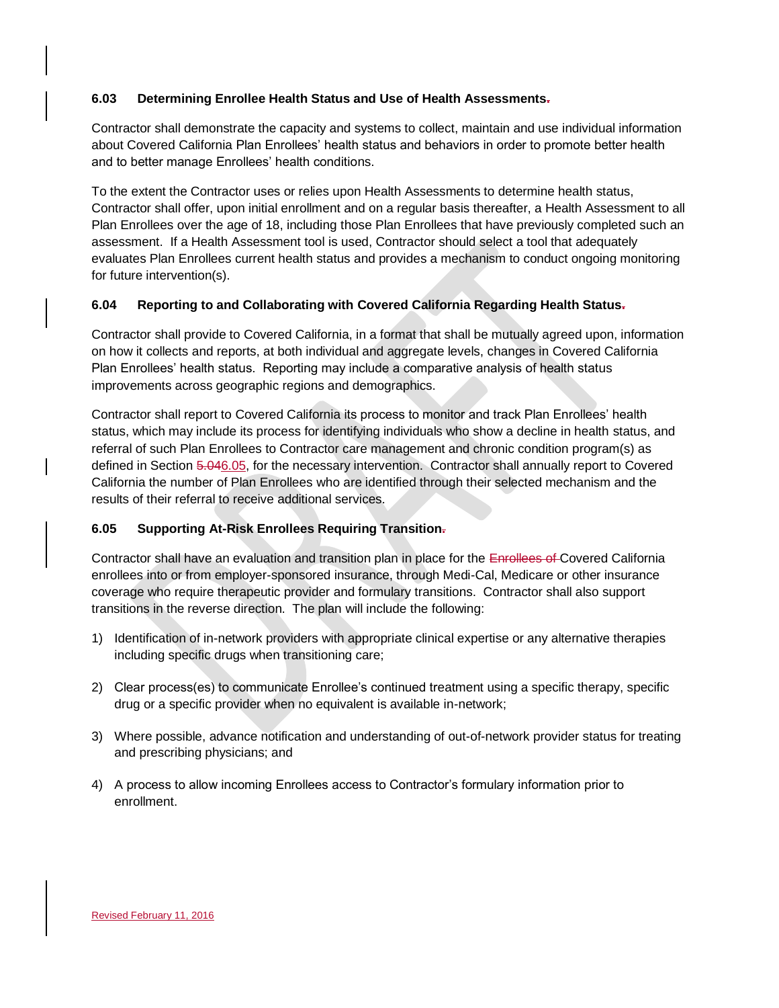# **6.03 Determining Enrollee Health Status and Use of Health Assessments.**

Contractor shall demonstrate the capacity and systems to collect, maintain and use individual information about Covered California Plan Enrollees' health status and behaviors in order to promote better health and to better manage Enrollees' health conditions.

To the extent the Contractor uses or relies upon Health Assessments to determine health status, Contractor shall offer, upon initial enrollment and on a regular basis thereafter, a Health Assessment to all Plan Enrollees over the age of 18, including those Plan Enrollees that have previously completed such an assessment. If a Health Assessment tool is used, Contractor should select a tool that adequately evaluates Plan Enrollees current health status and provides a mechanism to conduct ongoing monitoring for future intervention(s).

# **6.04 Reporting to and Collaborating with Covered California Regarding Health Status.**

Contractor shall provide to Covered California, in a format that shall be mutually agreed upon, information on how it collects and reports, at both individual and aggregate levels, changes in Covered California Plan Enrollees' health status. Reporting may include a comparative analysis of health status improvements across geographic regions and demographics.

Contractor shall report to Covered California its process to monitor and track Plan Enrollees' health status, which may include its process for identifying individuals who show a decline in health status, and referral of such Plan Enrollees to Contractor care management and chronic condition program(s) as defined in Section 5.046.05, for the necessary intervention. Contractor shall annually report to Covered California the number of Plan Enrollees who are identified through their selected mechanism and the results of their referral to receive additional services.

# **6.05 Supporting At-Risk Enrollees Requiring Transition.**

Contractor shall have an evaluation and transition plan in place for the Enrollees of Covered California enrollees into or from employer-sponsored insurance, through Medi-Cal, Medicare or other insurance coverage who require therapeutic provider and formulary transitions. Contractor shall also support transitions in the reverse direction. The plan will include the following:

- 1) Identification of in-network providers with appropriate clinical expertise or any alternative therapies including specific drugs when transitioning care;
- 2) Clear process(es) to communicate Enrollee's continued treatment using a specific therapy, specific drug or a specific provider when no equivalent is available in-network;
- 3) Where possible, advance notification and understanding of out-of-network provider status for treating and prescribing physicians; and
- 4) A process to allow incoming Enrollees access to Contractor's formulary information prior to enrollment.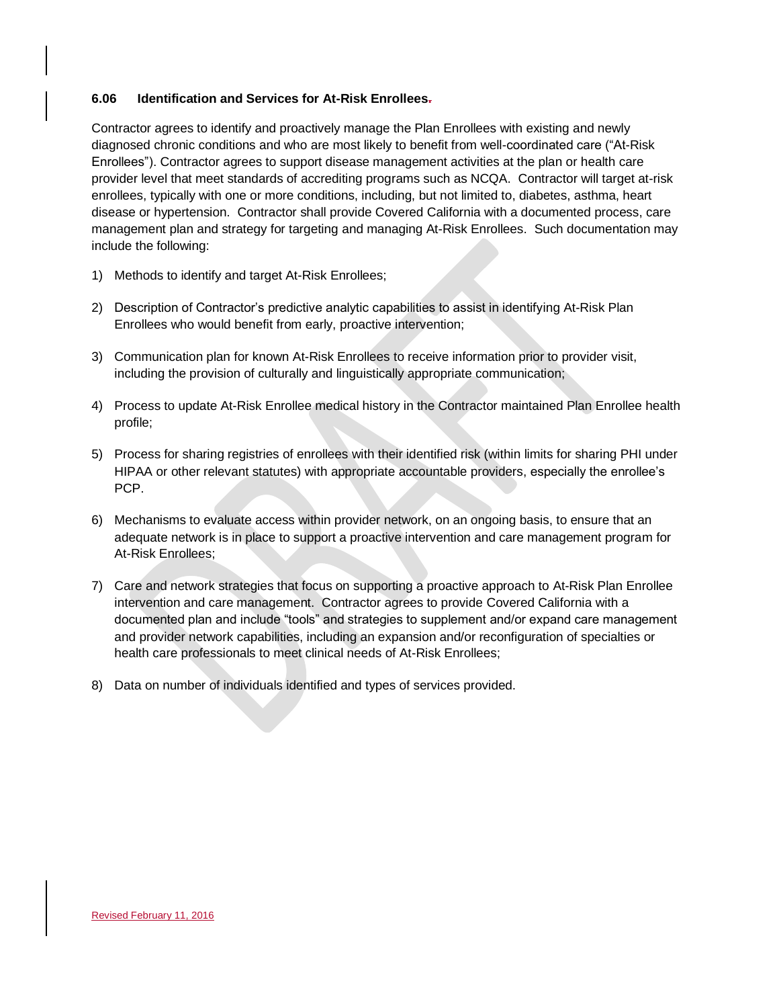### **6.06 Identification and Services for At-Risk Enrollees.**

Contractor agrees to identify and proactively manage the Plan Enrollees with existing and newly diagnosed chronic conditions and who are most likely to benefit from well-coordinated care ("At-Risk Enrollees"). Contractor agrees to support disease management activities at the plan or health care provider level that meet standards of accrediting programs such as NCQA. Contractor will target at-risk enrollees, typically with one or more conditions, including, but not limited to, diabetes, asthma, heart disease or hypertension. Contractor shall provide Covered California with a documented process, care management plan and strategy for targeting and managing At-Risk Enrollees. Such documentation may include the following:

- 1) Methods to identify and target At-Risk Enrollees;
- 2) Description of Contractor's predictive analytic capabilities to assist in identifying At-Risk Plan Enrollees who would benefit from early, proactive intervention;
- 3) Communication plan for known At-Risk Enrollees to receive information prior to provider visit, including the provision of culturally and linguistically appropriate communication;
- 4) Process to update At-Risk Enrollee medical history in the Contractor maintained Plan Enrollee health profile;
- 5) Process for sharing registries of enrollees with their identified risk (within limits for sharing PHI under HIPAA or other relevant statutes) with appropriate accountable providers, especially the enrollee's PCP.
- 6) Mechanisms to evaluate access within provider network, on an ongoing basis, to ensure that an adequate network is in place to support a proactive intervention and care management program for At-Risk Enrollees;
- 7) Care and network strategies that focus on supporting a proactive approach to At-Risk Plan Enrollee intervention and care management. Contractor agrees to provide Covered California with a documented plan and include "tools" and strategies to supplement and/or expand care management and provider network capabilities, including an expansion and/or reconfiguration of specialties or health care professionals to meet clinical needs of At-Risk Enrollees;
- 8) Data on number of individuals identified and types of services provided.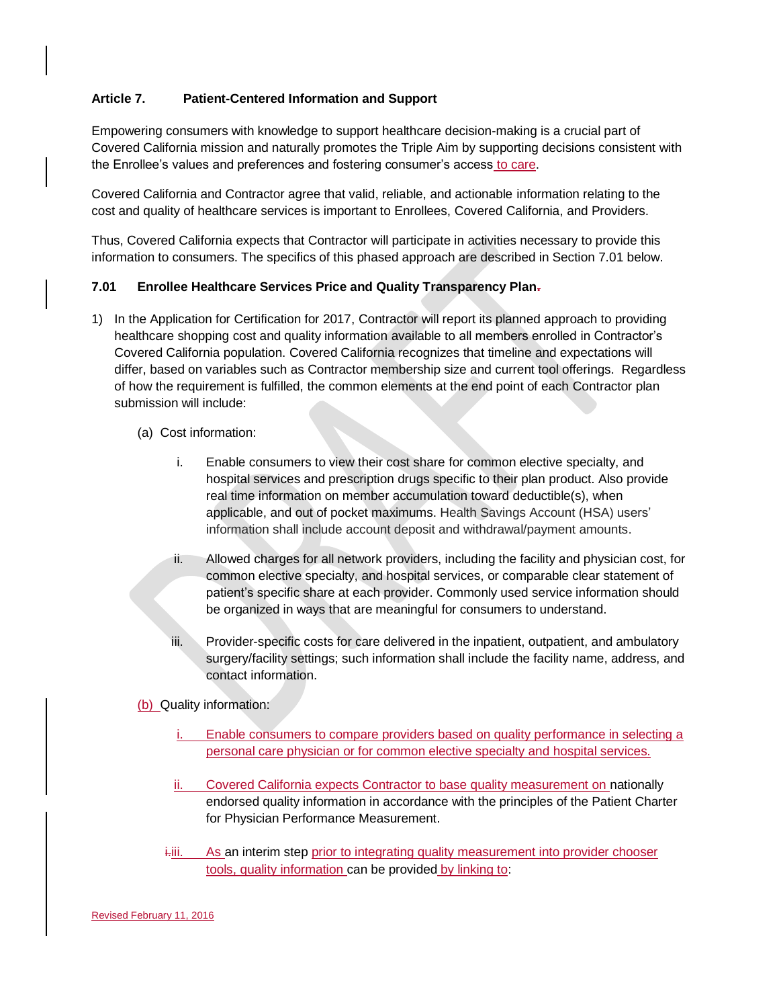# **Article 7. Patient-Centered Information and Support**

Empowering consumers with knowledge to support healthcare decision-making is a crucial part of Covered California mission and naturally promotes the Triple Aim by supporting decisions consistent with the Enrollee's values and preferences and fostering consumer's access to care.

Covered California and Contractor agree that valid, reliable, and actionable information relating to the cost and quality of healthcare services is important to Enrollees, Covered California, and Providers.

Thus, Covered California expects that Contractor will participate in activities necessary to provide this information to consumers. The specifics of this phased approach are described in Section 7.01 below.

### **7.01 Enrollee Healthcare Services Price and Quality Transparency Plan.**

- 1) In the Application for Certification for 2017, Contractor will report its planned approach to providing healthcare shopping cost and quality information available to all members enrolled in Contractor's Covered California population. Covered California recognizes that timeline and expectations will differ, based on variables such as Contractor membership size and current tool offerings. Regardless of how the requirement is fulfilled, the common elements at the end point of each Contractor plan submission will include:
	- (a) Cost information:
		- i. Enable consumers to view their cost share for common elective specialty, and hospital services and prescription drugs specific to their plan product. Also provide real time information on member accumulation toward deductible(s), when applicable, and out of pocket maximums. Health Savings Account (HSA) users' information shall include account deposit and withdrawal/payment amounts.
		- ii. Allowed charges for all network providers, including the facility and physician cost, for common elective specialty, and hospital services, or comparable clear statement of patient's specific share at each provider. Commonly used service information should be organized in ways that are meaningful for consumers to understand.
		- iii. Provider-specific costs for care delivered in the inpatient, outpatient, and ambulatory surgery/facility settings; such information shall include the facility name, address, and contact information.

(b) Quality information:

- Enable consumers to compare providers based on quality performance in selecting a personal care physician or for common elective specialty and hospital services.
- Covered California expects Contractor to base quality measurement on nationally endorsed quality information in accordance with the principles of the Patient Charter for Physician Performance Measurement.
- $\ddot{h}$ iii. As an interim step prior to integrating quality measurement into provider chooser tools, quality information can be provided by linking to: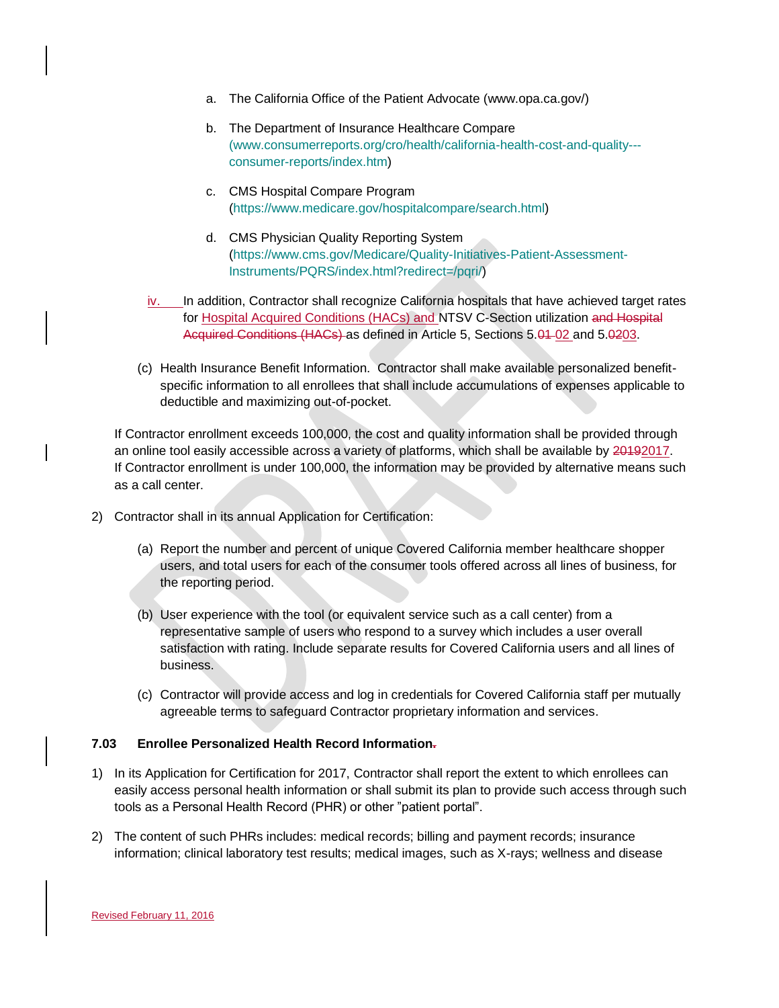- a. The California Office of the Patient Advocate (www.opa.ca.gov/)
- b. The Department of Insurance Healthcare Compare [\(www.consumerreports.org/cro/health/california-health-cost-and-quality--](http://(www.consumerreports.org/cro/health/california-health-cost-and-quality---consumer-reports/index.htm) [consumer-reports/index.htm\)](http://(www.consumerreports.org/cro/health/california-health-cost-and-quality---consumer-reports/index.htm)
- c. CMS Hospital Compare Program [\(https://www.medicare.gov/hospitalcompare/search.html\)](https://www.medicare.gov/hospitalcompare/search.html)
- d. CMS Physician Quality Reporting System [\(https://www.cms.gov/Medicare/Quality-Initiatives-Patient-Assessment-](https://www.cms.gov/Medicare/Quality-Initiatives-Patient-Assessment-Instruments/PQRS/index.html?redirect=/pqri/)[Instruments/PQRS/index.html?redirect=/pqri/\)](https://www.cms.gov/Medicare/Quality-Initiatives-Patient-Assessment-Instruments/PQRS/index.html?redirect=/pqri/)
- iv. In addition, Contractor shall recognize California hospitals that have achieved target rates for Hospital Acquired Conditions (HACs) and NTSV C-Section utilization and Hospital Acquired Conditions (HACs) as defined in Article 5, Sections 5.01-02 and 5.0203.
- (c) Health Insurance Benefit Information. Contractor shall make available personalized benefitspecific information to all enrollees that shall include accumulations of expenses applicable to deductible and maximizing out-of-pocket.

If Contractor enrollment exceeds 100,000, the cost and quality information shall be provided through an online tool easily accessible across a variety of platforms, which shall be available by 20192017. If Contractor enrollment is under 100,000, the information may be provided by alternative means such as a call center.

- 2) Contractor shall in its annual Application for Certification:
	- (a) Report the number and percent of unique Covered California member healthcare shopper users, and total users for each of the consumer tools offered across all lines of business, for the reporting period.
	- (b) User experience with the tool (or equivalent service such as a call center) from a representative sample of users who respond to a survey which includes a user overall satisfaction with rating. Include separate results for Covered California users and all lines of business.
	- (c) Contractor will provide access and log in credentials for Covered California staff per mutually agreeable terms to safeguard Contractor proprietary information and services.

### **7.03 Enrollee Personalized Health Record Information.**

- 1) In its Application for Certification for 2017, Contractor shall report the extent to which enrollees can easily access personal health information or shall submit its plan to provide such access through such tools as a Personal Health Record (PHR) or other "patient portal".
- 2) The content of such PHRs includes: medical records; billing and payment records; insurance information; clinical laboratory test results; medical images, such as X-rays; wellness and disease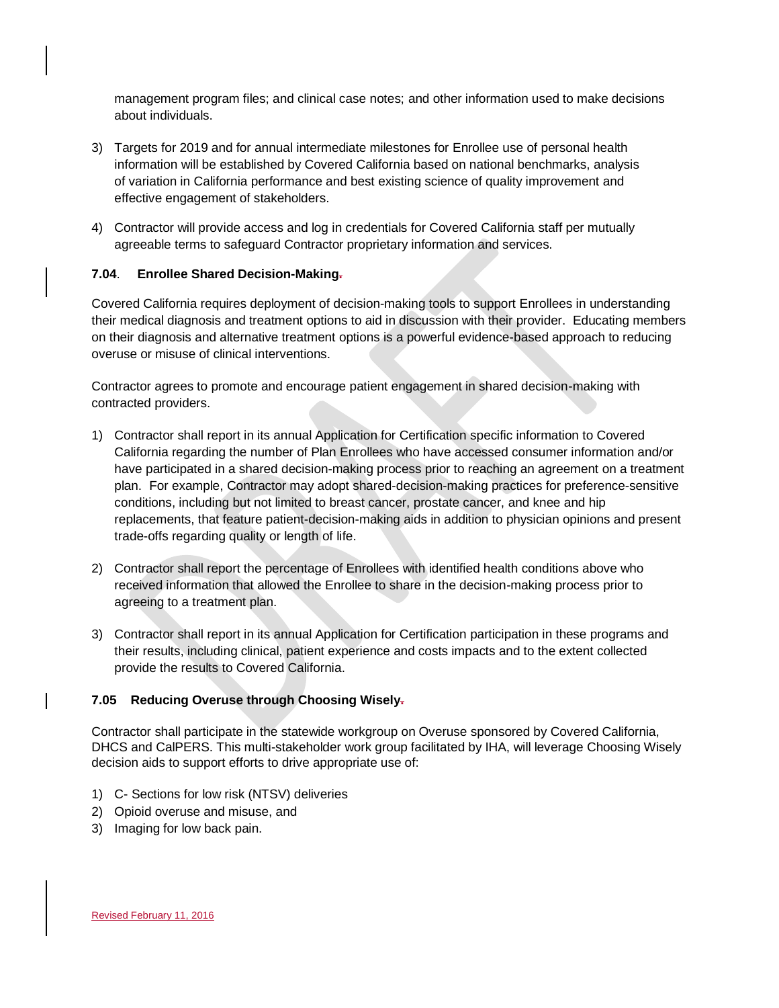management program files; and clinical case notes; and other information used to make decisions about individuals.

- 3) Targets for 2019 and for annual intermediate milestones for Enrollee use of personal health information will be established by Covered California based on national benchmarks, analysis of variation in California performance and best existing science of quality improvement and effective engagement of stakeholders.
- 4) Contractor will provide access and log in credentials for Covered California staff per mutually agreeable terms to safeguard Contractor proprietary information and services.

# **7.04**. **Enrollee Shared Decision-Making.**

Covered California requires deployment of decision-making tools to support Enrollees in understanding their medical diagnosis and treatment options to aid in discussion with their provider. Educating members on their diagnosis and alternative treatment options is a powerful evidence-based approach to reducing overuse or misuse of clinical interventions.

Contractor agrees to promote and encourage patient engagement in shared decision-making with contracted providers.

- 1) Contractor shall report in its annual Application for Certification specific information to Covered California regarding the number of Plan Enrollees who have accessed consumer information and/or have participated in a shared decision-making process prior to reaching an agreement on a treatment plan. For example, Contractor may adopt shared-decision-making practices for preference-sensitive conditions, including but not limited to breast cancer, prostate cancer, and knee and hip replacements, that feature patient-decision-making aids in addition to physician opinions and present trade-offs regarding quality or length of life.
- 2) Contractor shall report the percentage of Enrollees with identified health conditions above who received information that allowed the Enrollee to share in the decision-making process prior to agreeing to a treatment plan.
- 3) Contractor shall report in its annual Application for Certification participation in these programs and their results, including clinical, patient experience and costs impacts and to the extent collected provide the results to Covered California.

# **7.05 Reducing Overuse through Choosing Wisely.**

Contractor shall participate in the statewide workgroup on Overuse sponsored by Covered California, DHCS and CalPERS. This multi-stakeholder work group facilitated by IHA, will leverage Choosing Wisely decision aids to support efforts to drive appropriate use of:

- 1) C- Sections for low risk (NTSV) deliveries
- 2) Opioid overuse and misuse, and
- 3) Imaging for low back pain.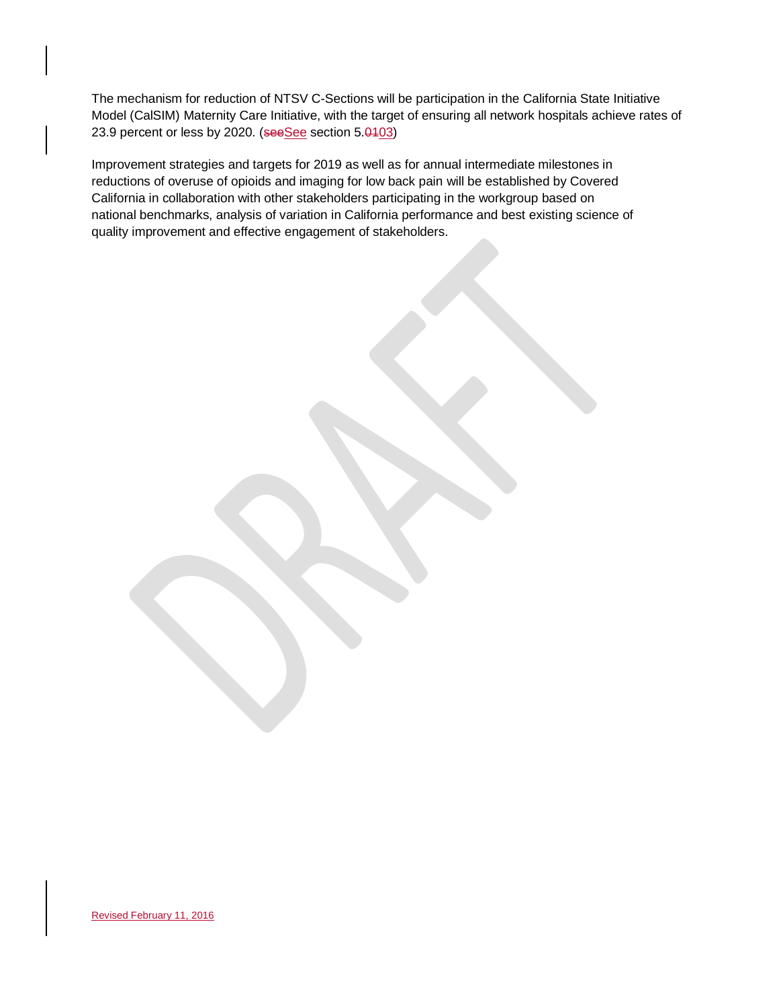The mechanism for reduction of NTSV C-Sections will be participation in the California State Initiative Model (CalSIM) Maternity Care Initiative, with the target of ensuring all network hospitals achieve rates of 23.9 percent or less by 2020. (seeSee section 5.0403)

Improvement strategies and targets for 2019 as well as for annual intermediate milestones in reductions of overuse of opioids and imaging for low back pain will be established by Covered California in collaboration with other stakeholders participating in the workgroup based on national benchmarks, analysis of variation in California performance and best existing science of quality improvement and effective engagement of stakeholders.

Revised February 11, 2016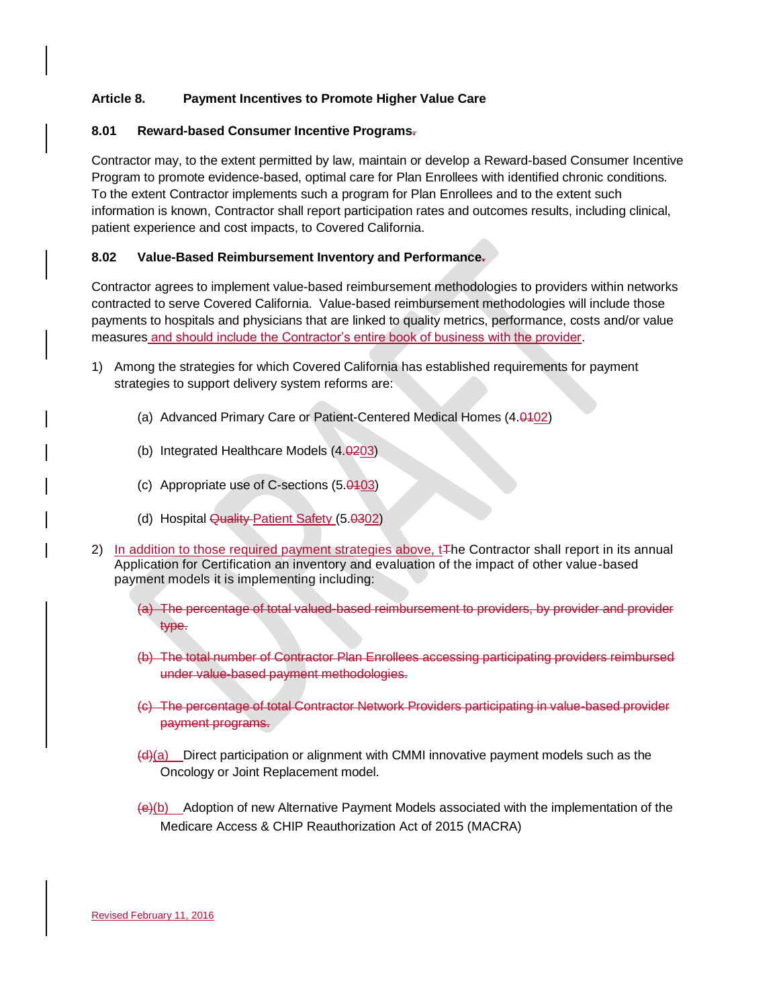# **Article 8. Payment Incentives to Promote Higher Value Care**

### **8.01 Reward-based Consumer Incentive Programs.**

Contractor may, to the extent permitted by law, maintain or develop a Reward-based Consumer Incentive Program to promote evidence-based, optimal care for Plan Enrollees with identified chronic conditions. To the extent Contractor implements such a program for Plan Enrollees and to the extent such information is known, Contractor shall report participation rates and outcomes results, including clinical, patient experience and cost impacts, to Covered California.

# **8.02 Value-Based Reimbursement Inventory and Performance.**

Contractor agrees to implement value-based reimbursement methodologies to providers within networks contracted to serve Covered California. Value-based reimbursement methodologies will include those payments to hospitals and physicians that are linked to quality metrics, performance, costs and/or value measures and should include the Contractor's entire book of business with the provider.

- 1) Among the strategies for which Covered California has established requirements for payment strategies to support delivery system reforms are:
	- (a) Advanced Primary Care or Patient-Centered Medical Homes (4.0102)
	- (b) Integrated Healthcare Models  $(4.0203)$
	- (c) Appropriate use of C-sections (5.0103)
	- (d) Hospital Quality Patient Safety (5.0302)
- 2) In addition to those required payment strategies above,  $t\overline{t}$  he Contractor shall report in its annual Application for Certification an inventory and evaluation of the impact of other value-based payment models it is implementing including:
	- (a) The percentage of total valued-based reimbursement to providers, by provider and provider type.
	- (b) The total number of Contractor Plan Enrollees accessing participating providers reimbursed under value-based payment methodologies.
	- (c) The percentage of total Contractor Network Providers participating in value-based provider payment programs.
	- $\frac{dA}{a}$  Direct participation or alignment with CMMI innovative payment models such as the Oncology or Joint Replacement model.
	- $\left\langle \Theta \right\rangle$ (b) Adoption of new Alternative Payment Models associated with the implementation of the Medicare Access & [CHIP](http://www.insurekidsnow.gov/chip/index.html) Reauthorization Act of 2015 (MACRA)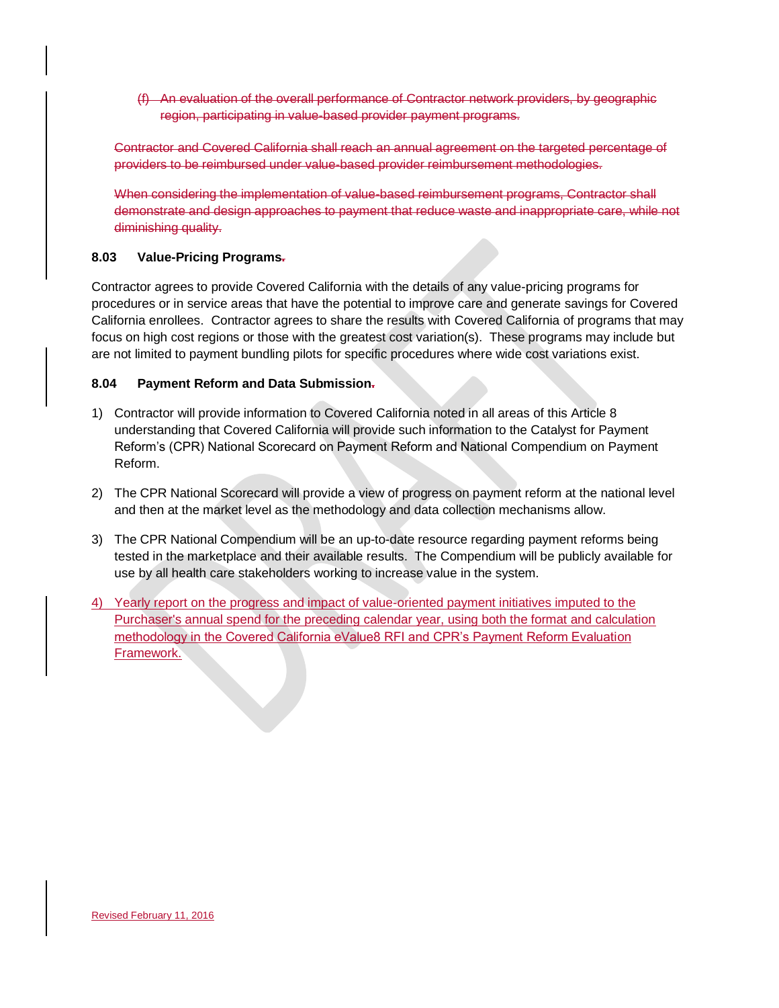(f) An evaluation of the overall performance of Contractor network providers, by geographic region, participating in value-based provider payment programs.

Contractor and Covered California shall reach an annual agreement on the targeted percentage of providers to be reimbursed under value-based provider reimbursement methodologies.

When considering the implementation of value-based reimbursement programs, Contractor shall demonstrate and design approaches to payment that reduce waste and inappropriate care, while not diminishing quality.

# **8.03 Value-Pricing Programs.**

Contractor agrees to provide Covered California with the details of any value-pricing programs for procedures or in service areas that have the potential to improve care and generate savings for Covered California enrollees. Contractor agrees to share the results with Covered California of programs that may focus on high cost regions or those with the greatest cost variation(s). These programs may include but are not limited to payment bundling pilots for specific procedures where wide cost variations exist.

### **8.04 Payment Reform and Data Submission.**

- 1) Contractor will provide information to Covered California noted in all areas of this Article 8 understanding that Covered California will provide such information to the Catalyst for Payment Reform's (CPR) National Scorecard on Payment Reform and National Compendium on Payment Reform.
- 2) The CPR National Scorecard will provide a view of progress on payment reform at the national level and then at the market level as the methodology and data collection mechanisms allow.
- 3) The CPR National Compendium will be an up-to-date resource regarding payment reforms being tested in the marketplace and their available results. The Compendium will be publicly available for use by all health care stakeholders working to increase value in the system.
- 4) Yearly report on the progress and impact of value-oriented payment initiatives imputed to the Purchaser's annual spend for the preceding calendar year, using both the format and calculation methodology in the Covered California eValue8 RFI and CPR's Payment Reform Evaluation Framework.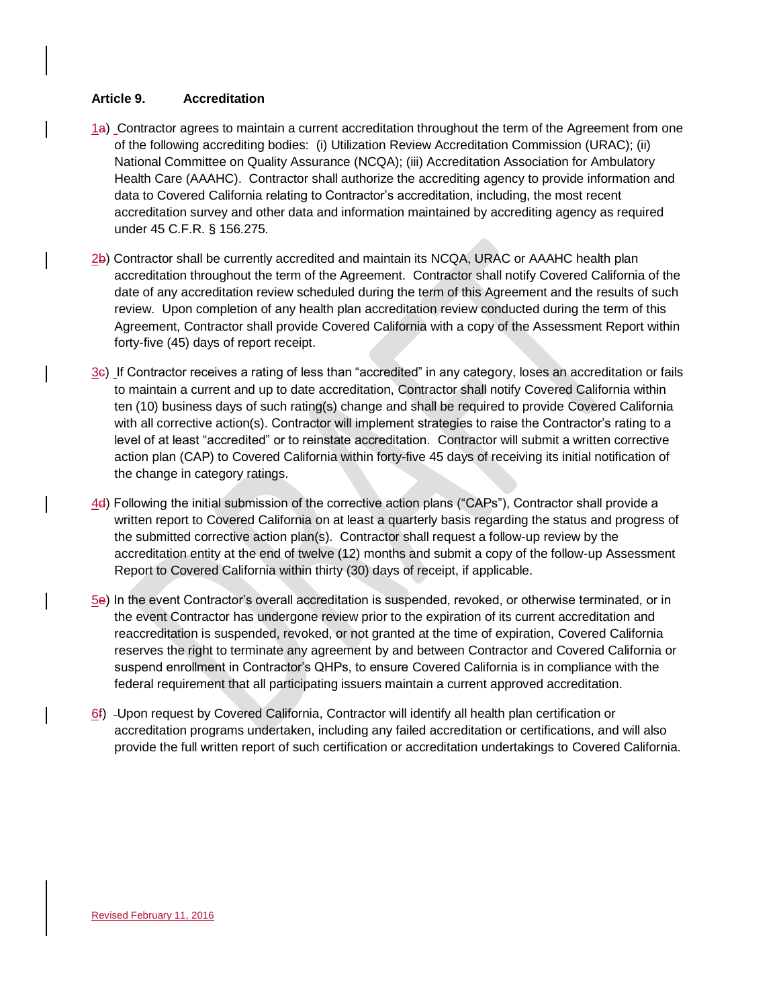### **Article 9. Accreditation**

- 1a) Contractor agrees to maintain a current accreditation throughout the term of the Agreement from one of the following accrediting bodies: (i) Utilization Review Accreditation Commission (URAC); (ii) National Committee on Quality Assurance (NCQA); (iii) Accreditation Association for Ambulatory Health Care (AAAHC). Contractor shall authorize the accrediting agency to provide information and data to Covered California relating to Contractor's accreditation, including, the most recent accreditation survey and other data and information maintained by accrediting agency as required under 45 C.F.R. § 156.275.
- 2b) Contractor shall be currently accredited and maintain its NCQA, URAC or AAAHC health plan accreditation throughout the term of the Agreement. Contractor shall notify Covered California of the date of any accreditation review scheduled during the term of this Agreement and the results of such review. Upon completion of any health plan accreditation review conducted during the term of this Agreement, Contractor shall provide Covered California with a copy of the Assessment Report within forty-five (45) days of report receipt.
- 3c) If Contractor receives a rating of less than "accredited" in any category, loses an accreditation or fails to maintain a current and up to date accreditation, Contractor shall notify Covered California within ten (10) business days of such rating(s) change and shall be required to provide Covered California with all corrective action(s). Contractor will implement strategies to raise the Contractor's rating to a level of at least "accredited" or to reinstate accreditation. Contractor will submit a written corrective action plan (CAP) to Covered California within forty-five 45 days of receiving its initial notification of the change in category ratings.
- 4d) Following the initial submission of the corrective action plans ("CAPs"), Contractor shall provide a written report to Covered California on at least a quarterly basis regarding the status and progress of the submitted corrective action plan(s). Contractor shall request a follow-up review by the accreditation entity at the end of twelve (12) months and submit a copy of the follow-up Assessment Report to Covered California within thirty (30) days of receipt, if applicable.
- 5e) In the event Contractor's overall accreditation is suspended, revoked, or otherwise terminated, or in the event Contractor has undergone review prior to the expiration of its current accreditation and reaccreditation is suspended, revoked, or not granted at the time of expiration, Covered California reserves the right to terminate any agreement by and between Contractor and Covered California or suspend enrollment in Contractor's QHPs, to ensure Covered California is in compliance with the federal requirement that all participating issuers maintain a current approved accreditation.
- 6f) -Upon request by Covered California, Contractor will identify all health plan certification or accreditation programs undertaken, including any failed accreditation or certifications, and will also provide the full written report of such certification or accreditation undertakings to Covered California.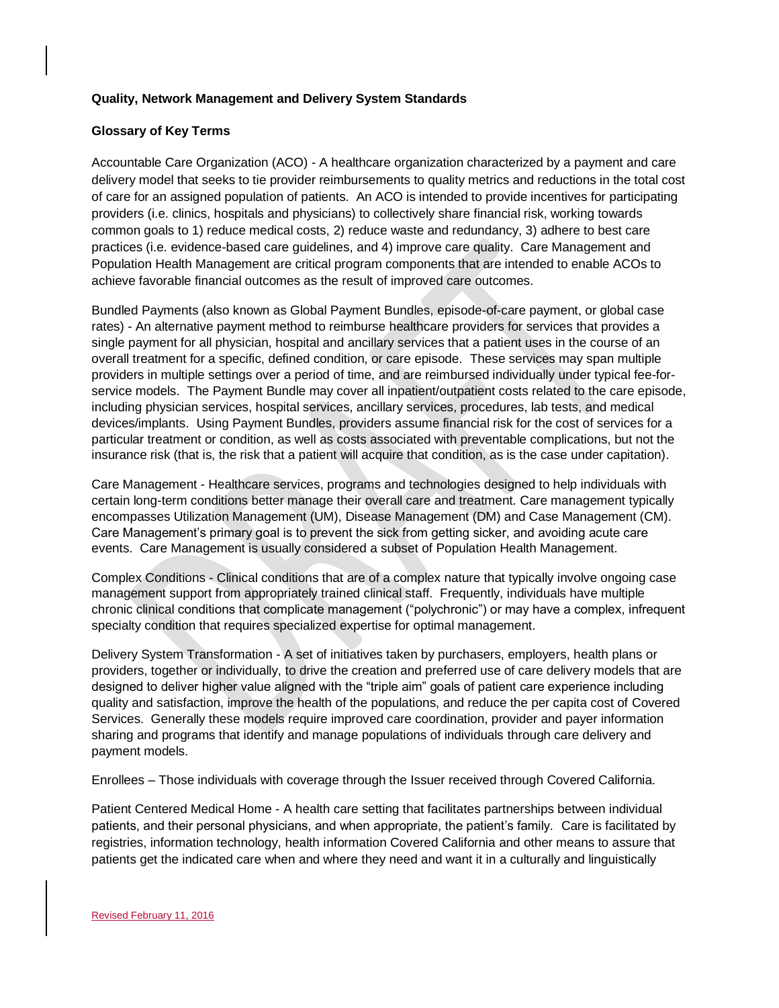### **Quality, Network Management and Delivery System Standards**

### **Glossary of Key Terms**

Accountable Care Organization (ACO) - A healthcare organization characterized by a payment and care delivery model that seeks to tie provider reimbursements to quality metrics and reductions in the total cost of care for an assigned population of patients. An ACO is intended to provide incentives for participating providers (i.e. clinics, hospitals and physicians) to collectively share financial risk, working towards common goals to 1) reduce medical costs, 2) reduce waste and redundancy, 3) adhere to best care practices (i.e. evidence-based care guidelines, and 4) improve care quality. Care Management and Population Health Management are critical program components that are intended to enable ACOs to achieve favorable financial outcomes as the result of improved care outcomes.

Bundled Payments (also known as Global Payment Bundles, episode-of-care payment, or global case rates) - An alternative payment method to reimburse healthcare providers for services that provides a single payment for all physician, hospital and ancillary services that a patient uses in the course of an overall treatment for a specific, defined condition, or care episode. These services may span multiple providers in multiple settings over a period of time, and are reimbursed individually under typical fee-forservice models. The Payment Bundle may cover all inpatient/outpatient costs related to the care episode, including physician services, hospital services, ancillary services, procedures, lab tests, and medical devices/implants. Using Payment Bundles, providers assume financial risk for the cost of services for a particular treatment or condition, as well as costs associated with preventable complications, but not the insurance risk (that is, the risk that a patient will acquire that condition, as is the case under capitation).

Care Management - Healthcare services, programs and technologies designed to help individuals with certain long-term conditions better manage their overall care and treatment. Care management typically encompasses Utilization Management (UM), Disease Management (DM) and Case Management (CM). Care Management's primary goal is to prevent the sick from getting sicker, and avoiding acute care events. Care Management is usually considered a subset of Population Health Management.

Complex Conditions - Clinical conditions that are of a complex nature that typically involve ongoing case management support from appropriately trained clinical staff. Frequently, individuals have multiple chronic clinical conditions that complicate management ("polychronic") or may have a complex, infrequent specialty condition that requires specialized expertise for optimal management.

Delivery System Transformation - A set of initiatives taken by purchasers, employers, health plans or providers, together or individually, to drive the creation and preferred use of care delivery models that are designed to deliver higher value aligned with the "triple aim" goals of patient care experience including quality and satisfaction, improve the health of the populations, and reduce the per capita cost of Covered Services. Generally these models require improved care coordination, provider and payer information sharing and programs that identify and manage populations of individuals through care delivery and payment models.

Enrollees – Those individuals with coverage through the Issuer received through Covered California.

Patient Centered Medical Home - A health care setting that facilitates partnerships between individual patients, and their personal physicians, and when appropriate, the patient's family. Care is facilitated by registries, information technology, health information Covered California and other means to assure that patients get the indicated care when and where they need and want it in a culturally and linguistically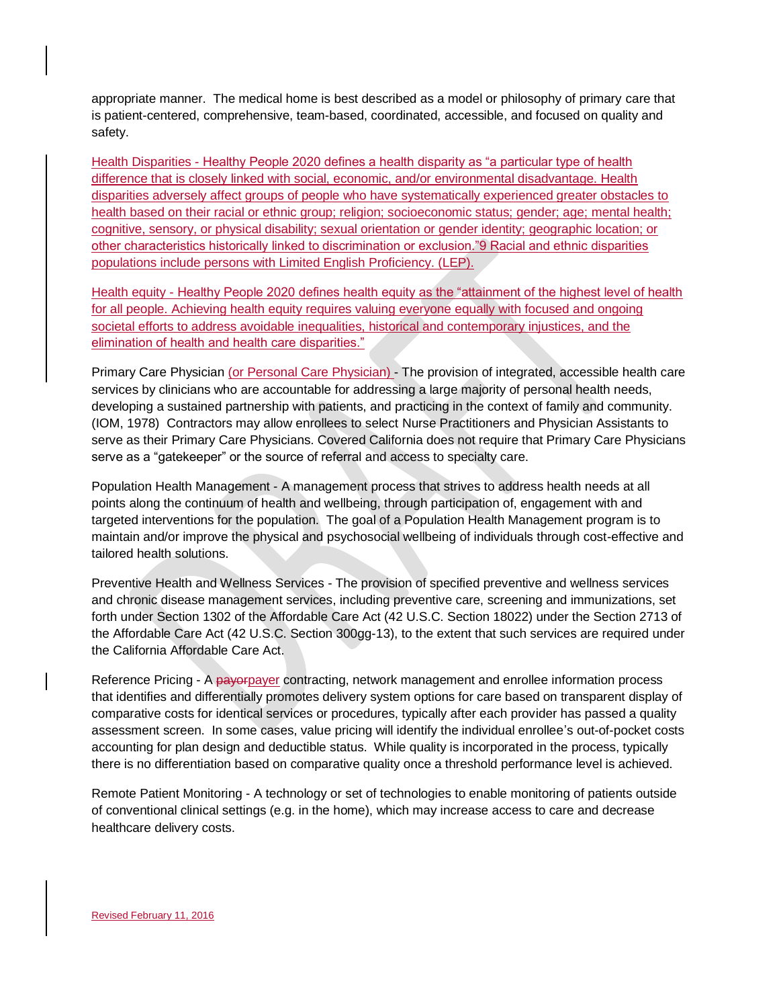appropriate manner. The medical home is best described as a model or philosophy of primary care that is patient-centered, comprehensive, team-based, coordinated, accessible, and focused on quality and safety.

Health Disparities - Healthy People 2020 defines a health disparity as "a particular type of health difference that is closely linked with social, economic, and/or environmental disadvantage. Health disparities adversely affect groups of people who have systematically experienced greater obstacles to health based on their racial or ethnic group; religion; socioeconomic status; gender; age; mental health; cognitive, sensory, or physical disability; sexual orientation or gender identity; geographic location; or other characteristics historically linked to discrimination or exclusion."9 Racial and ethnic disparities populations include persons with Limited English Proficiency. (LEP).

Health equity - Healthy People 2020 defines health equity as the "attainment of the highest level of health for all people. Achieving health equity requires valuing everyone equally with focused and ongoing societal efforts to address avoidable inequalities, historical and contemporary injustices, and the elimination of health and health care disparities."

Primary Care Physician (or Personal Care Physician) - The provision of integrated, accessible health care services by clinicians who are accountable for addressing a large majority of personal health needs, developing a sustained partnership with patients, and practicing in the context of family and community. (IOM, 1978) Contractors may allow enrollees to select Nurse Practitioners and Physician Assistants to serve as their Primary Care Physicians. Covered California does not require that Primary Care Physicians serve as a "gatekeeper" or the source of referral and access to specialty care.

Population Health Management - A management process that strives to address health needs at all points along the continuum of health and wellbeing, through participation of, engagement with and targeted interventions for the population. The goal of a Population Health Management program is to maintain and/or improve the physical and psychosocial wellbeing of individuals through cost-effective and tailored health solutions.

Preventive Health and Wellness Services - The provision of specified preventive and wellness services and chronic disease management services, including preventive care, screening and immunizations, set forth under Section 1302 of the Affordable Care Act (42 U.S.C. Section 18022) under the Section 2713 of the Affordable Care Act (42 U.S.C. Section 300gg-13), to the extent that such services are required under the California Affordable Care Act.

Reference Pricing - A payorpayer contracting, network management and enrollee information process that identifies and differentially promotes delivery system options for care based on transparent display of comparative costs for identical services or procedures, typically after each provider has passed a quality assessment screen. In some cases, value pricing will identify the individual enrollee's out-of-pocket costs accounting for plan design and deductible status. While quality is incorporated in the process, typically there is no differentiation based on comparative quality once a threshold performance level is achieved.

Remote Patient Monitoring - A technology or set of technologies to enable monitoring of patients outside of conventional clinical settings (e.g. in the home), which may increase access to care and decrease healthcare delivery costs.